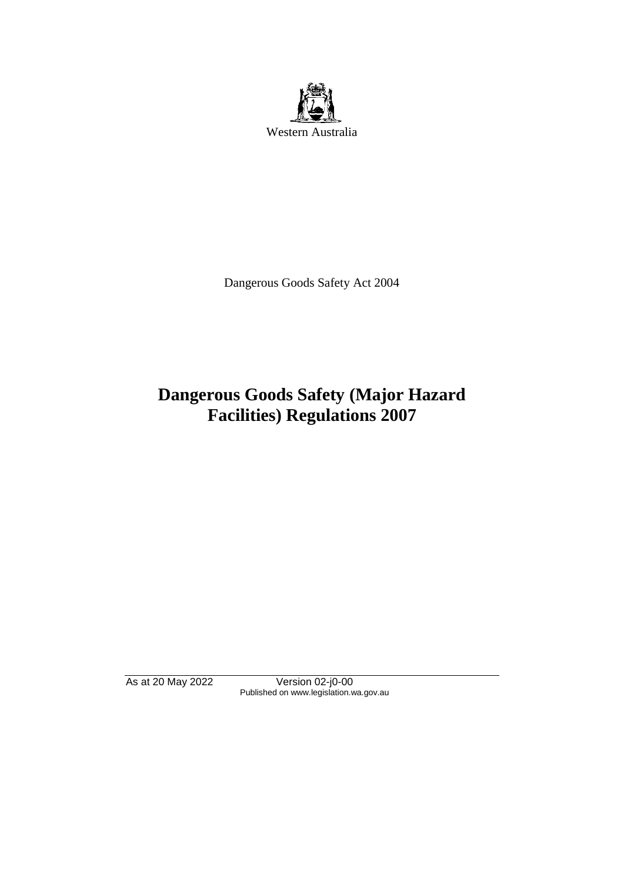

Dangerous Goods Safety Act 2004

# **Dangerous Goods Safety (Major Hazard Facilities) Regulations 2007**

As at 20 May 2022 Version 02-j0-00 Published on www.legislation.wa.gov.au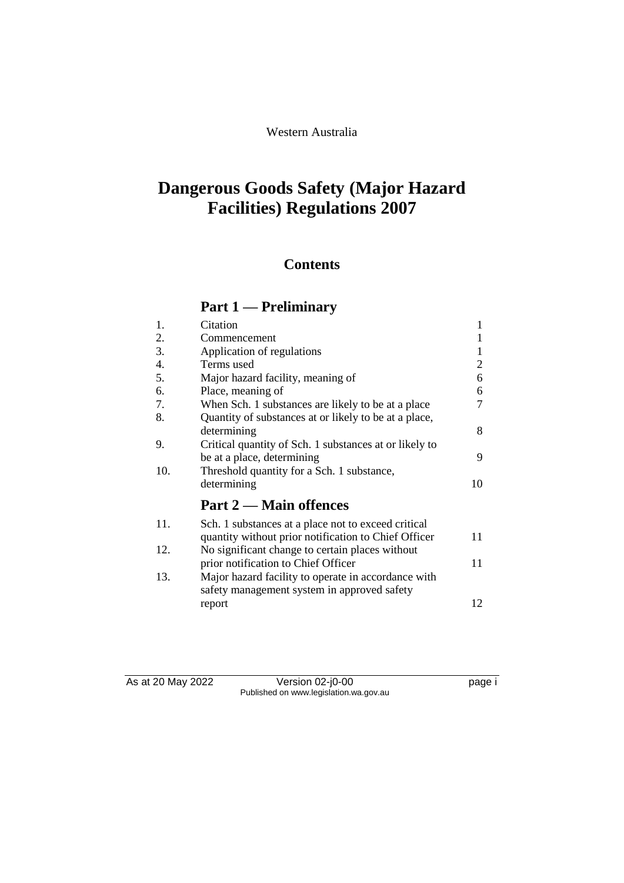# Western Australia

# **Dangerous Goods Safety (Major Hazard Facilities) Regulations 2007**

# **Contents**

# **Part 1 — Preliminary**

| 1.  | Citation                                                                                                    | 1  |
|-----|-------------------------------------------------------------------------------------------------------------|----|
| 2.  | Commencement                                                                                                |    |
| 3.  | Application of regulations                                                                                  | 1  |
| 4.  | Terms used                                                                                                  | 2  |
| 5.  | Major hazard facility, meaning of                                                                           | 6  |
| 6.  | Place, meaning of                                                                                           | 6  |
| 7.  | When Sch. 1 substances are likely to be at a place                                                          | 7  |
| 8.  | Quantity of substances at or likely to be at a place,<br>determining                                        | 8  |
| 9.  | Critical quantity of Sch. 1 substances at or likely to<br>be at a place, determining                        | 9  |
| 10. | Threshold quantity for a Sch. 1 substance,<br>determining                                                   | 10 |
|     | Part 2 — Main offences                                                                                      |    |
| 11. | Sch. 1 substances at a place not to exceed critical<br>quantity without prior notification to Chief Officer | 11 |
| 12. | No significant change to certain places without                                                             |    |
|     | prior notification to Chief Officer                                                                         | 11 |
| 13. | Major hazard facility to operate in accordance with<br>safety management system in approved safety          |    |
|     | report                                                                                                      | 12 |

As at 20 May 2022 Version 02-j0-00 page i Published on www.legislation.wa.gov.au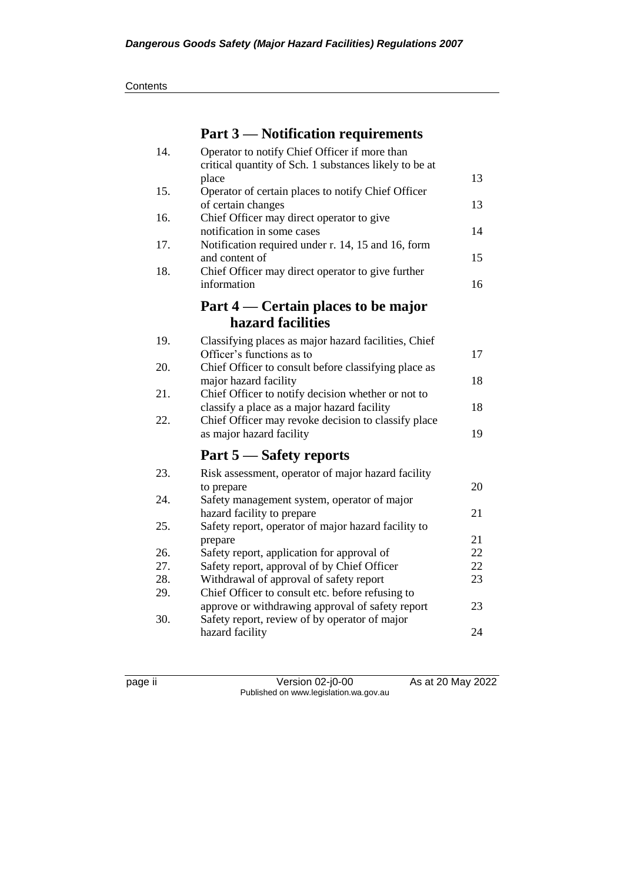# **Part 3 — Notification requirements**

| 14. | Operator to notify Chief Officer if more than<br>critical quantity of Sch. 1 substances likely to be at |          |
|-----|---------------------------------------------------------------------------------------------------------|----------|
|     | place                                                                                                   | 13       |
| 15. | Operator of certain places to notify Chief Officer<br>of certain changes                                | 13       |
| 16. | Chief Officer may direct operator to give<br>notification in some cases                                 | 14       |
| 17. | Notification required under r. 14, 15 and 16, form<br>and content of                                    | 15       |
| 18. | Chief Officer may direct operator to give further<br>information                                        | 16       |
|     | Part 4 — Certain places to be major                                                                     |          |
|     | hazard facilities                                                                                       |          |
| 19. | Classifying places as major hazard facilities, Chief<br>Officer's functions as to                       | 17       |
| 20. | Chief Officer to consult before classifying place as<br>major hazard facility                           | 18       |
| 21. | Chief Officer to notify decision whether or not to<br>classify a place as a major hazard facility       | 18       |
| 22. | Chief Officer may revoke decision to classify place<br>as major hazard facility                         | 19       |
|     | Part 5 – Safety reports                                                                                 |          |
| 23. | Risk assessment, operator of major hazard facility                                                      |          |
|     | to prepare                                                                                              | 20       |
| 24. | Safety management system, operator of major<br>hazard facility to prepare                               | 21       |
| 25. | Safety report, operator of major hazard facility to                                                     |          |
| 26. | prepare<br>Safety report, application for approval of                                                   | 21<br>22 |
| 27. | Safety report, approval of by Chief Officer                                                             | 22       |
| 28. | Withdrawal of approval of safety report                                                                 | 23       |
| 29. | Chief Officer to consult etc. before refusing to                                                        |          |
|     | approve or withdrawing approval of safety report                                                        | 23       |
| 30. | Safety report, review of by operator of major                                                           |          |
|     | hazard facility                                                                                         | 24       |

page ii Version 02-j0-00 As at 20 May 2022 Published on www.legislation.wa.gov.au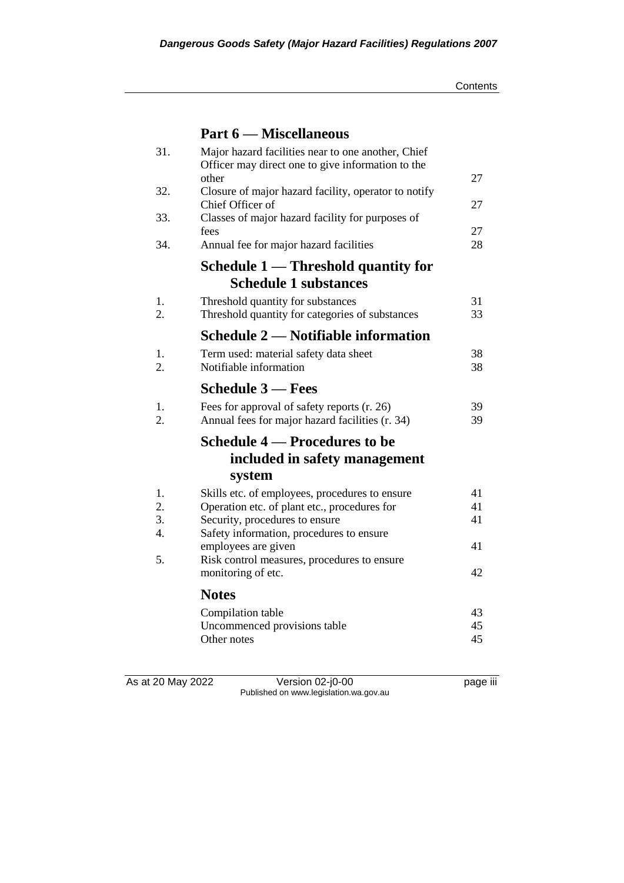# **Part 6 — Miscellaneous**

| 31. | Major hazard facilities near to one another, Chief<br>Officer may direct one to give information to the |    |
|-----|---------------------------------------------------------------------------------------------------------|----|
|     | other                                                                                                   | 27 |
| 32. | Closure of major hazard facility, operator to notify<br>Chief Officer of                                | 27 |
| 33. | Classes of major hazard facility for purposes of<br>fees                                                | 27 |
| 34. | Annual fee for major hazard facilities                                                                  | 28 |
|     | Schedule 1 — Threshold quantity for                                                                     |    |
|     | <b>Schedule 1 substances</b>                                                                            |    |
| 1.  | Threshold quantity for substances                                                                       | 31 |
| 2.  | Threshold quantity for categories of substances                                                         | 33 |
|     | Schedule 2 — Notifiable information                                                                     |    |
| 1.  | Term used: material safety data sheet                                                                   | 38 |
| 2.  | Notifiable information                                                                                  | 38 |
|     | <b>Schedule 3 – Fees</b>                                                                                |    |
| 1.  | Fees for approval of safety reports (r. 26)                                                             | 39 |
| 2.  | Annual fees for major hazard facilities (r. 34)                                                         | 39 |
|     | Schedule 4 — Procedures to be                                                                           |    |
|     | included in safety management                                                                           |    |
|     | system                                                                                                  |    |
| 1.  | Skills etc. of employees, procedures to ensure                                                          | 41 |
| 2.  | Operation etc. of plant etc., procedures for                                                            | 41 |
| 3.  | Security, procedures to ensure                                                                          | 41 |
| 4.  | Safety information, procedures to ensure                                                                |    |
|     | employees are given                                                                                     | 41 |
| 5.  | Risk control measures, procedures to ensure<br>monitoring of etc.                                       | 42 |
|     |                                                                                                         |    |
|     | <b>Notes</b>                                                                                            |    |
|     | Compilation table                                                                                       | 43 |
|     | Uncommenced provisions table                                                                            | 45 |
|     | Other notes                                                                                             | 45 |
|     |                                                                                                         |    |

As at 20 May 2022 Version 02-j0-00 page iii Published on www.legislation.wa.gov.au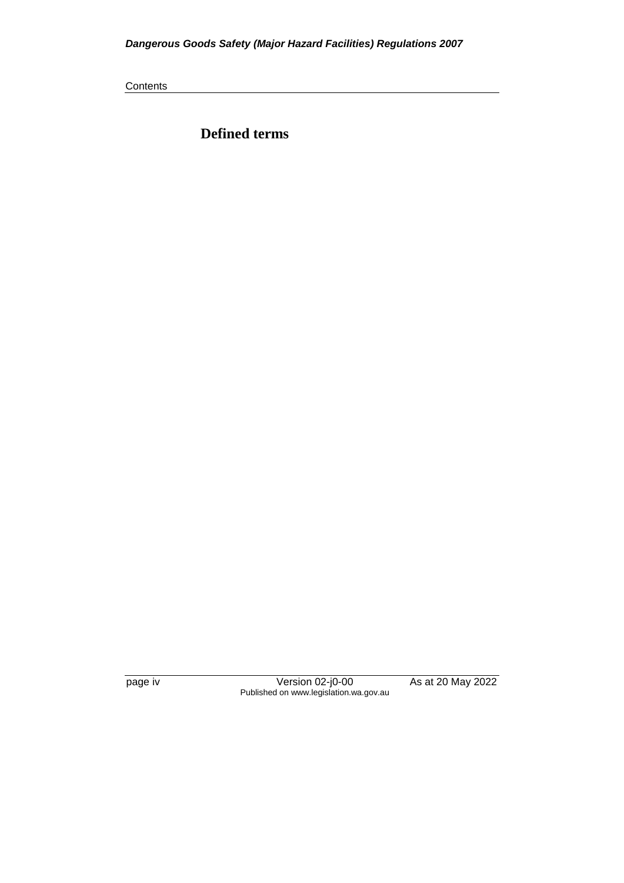**Contents** 

**Defined terms**

page iv Version 02-j0-00 As at 20 May 2022 Published on www.legislation.wa.gov.au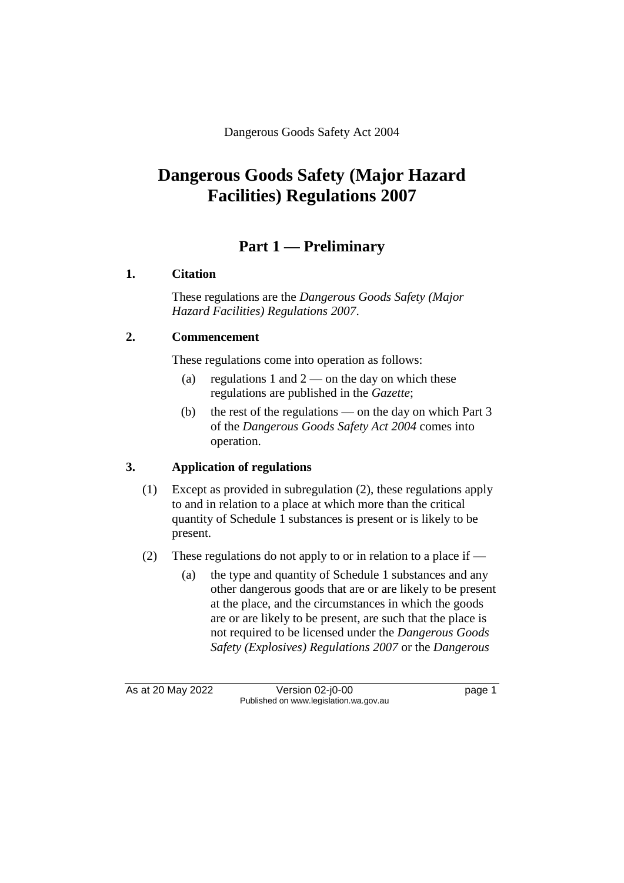Dangerous Goods Safety Act 2004

# **Dangerous Goods Safety (Major Hazard Facilities) Regulations 2007**

# **Part 1 — Preliminary**

# **1. Citation**

These regulations are the *Dangerous Goods Safety (Major Hazard Facilities) Regulations 2007*.

# **2. Commencement**

These regulations come into operation as follows:

- (a) regulations 1 and  $2$  on the day on which these regulations are published in the *Gazette*;
- (b) the rest of the regulations on the day on which Part 3 of the *Dangerous Goods Safety Act 2004* comes into operation.

# **3. Application of regulations**

- (1) Except as provided in subregulation (2), these regulations apply to and in relation to a place at which more than the critical quantity of Schedule 1 substances is present or is likely to be present.
- (2) These regulations do not apply to or in relation to a place if  $-$ 
	- (a) the type and quantity of Schedule 1 substances and any other dangerous goods that are or are likely to be present at the place, and the circumstances in which the goods are or are likely to be present, are such that the place is not required to be licensed under the *Dangerous Goods Safety (Explosives) Regulations 2007* or the *Dangerous*

As at 20 May 2022 Version 02-j0-00 Page 1 Published on www.legislation.wa.gov.au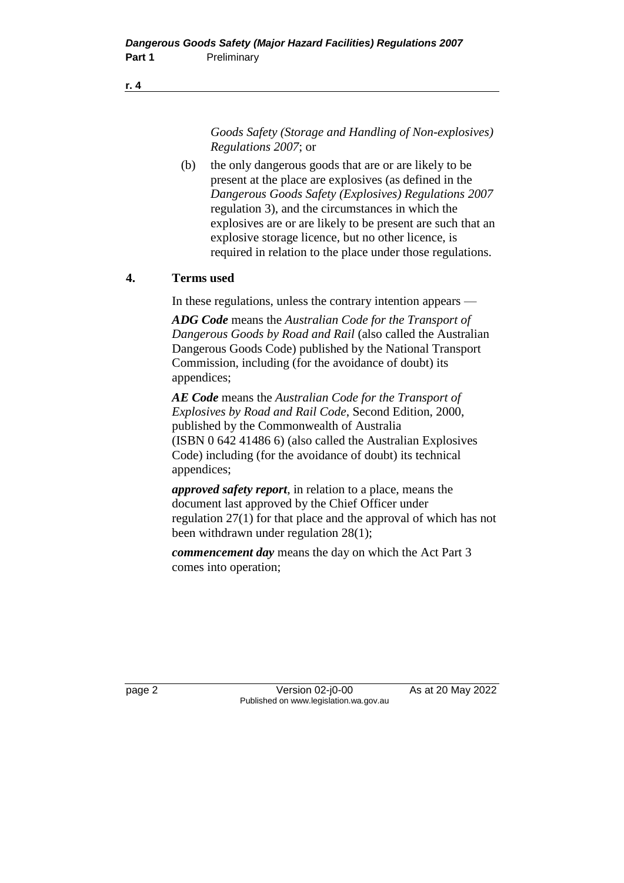#### **r. 4**

*Goods Safety (Storage and Handling of Non-explosives) Regulations 2007*; or

(b) the only dangerous goods that are or are likely to be present at the place are explosives (as defined in the *Dangerous Goods Safety (Explosives) Regulations 2007* regulation 3), and the circumstances in which the explosives are or are likely to be present are such that an explosive storage licence, but no other licence, is required in relation to the place under those regulations.

## **4. Terms used**

In these regulations, unless the contrary intention appears —

*ADG Code* means the *Australian Code for the Transport of Dangerous Goods by Road and Rail* (also called the Australian Dangerous Goods Code) published by the National Transport Commission, including (for the avoidance of doubt) its appendices;

*AE Code* means the *Australian Code for the Transport of Explosives by Road and Rail Code*, Second Edition, 2000, published by the Commonwealth of Australia (ISBN 0 642 41486 6) (also called the Australian Explosives Code) including (for the avoidance of doubt) its technical appendices;

*approved safety report*, in relation to a place, means the document last approved by the Chief Officer under regulation 27(1) for that place and the approval of which has not been withdrawn under regulation 28(1);

*commencement day* means the day on which the Act Part 3 comes into operation;

page 2 Version 02-j0-00 As at 20 May 2022 Published on www.legislation.wa.gov.au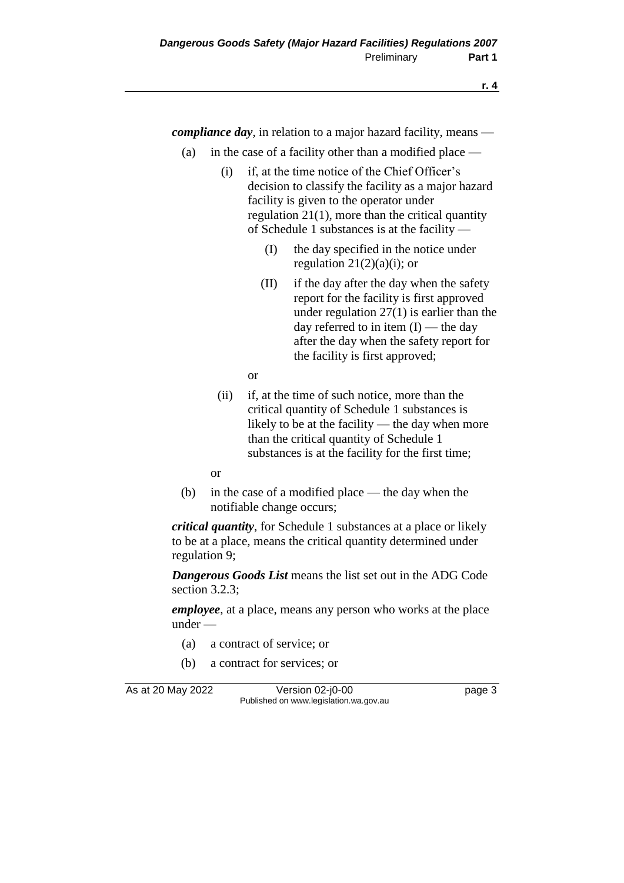*compliance day*, in relation to a major hazard facility, means —

- (a) in the case of a facility other than a modified place
	- (i) if, at the time notice of the Chief Officer's decision to classify the facility as a major hazard facility is given to the operator under regulation 21(1), more than the critical quantity of Schedule 1 substances is at the facility —
		- (I) the day specified in the notice under regulation  $21(2)(a)(i)$ ; or
		- (II) if the day after the day when the safety report for the facility is first approved under regulation 27(1) is earlier than the day referred to in item  $(I)$  — the day after the day when the safety report for the facility is first approved;
		- or
	- (ii) if, at the time of such notice, more than the critical quantity of Schedule 1 substances is likely to be at the facility — the day when more than the critical quantity of Schedule 1 substances is at the facility for the first time;
	- or
- (b) in the case of a modified place the day when the notifiable change occurs;

*critical quantity*, for Schedule 1 substances at a place or likely to be at a place, means the critical quantity determined under regulation 9;

*Dangerous Goods List* means the list set out in the ADG Code section 3.2.3;

*employee*, at a place, means any person who works at the place under —

- (a) a contract of service; or
- (b) a contract for services; or

As at 20 May 2022 Version 02-j0-00 Page 3 Published on www.legislation.wa.gov.au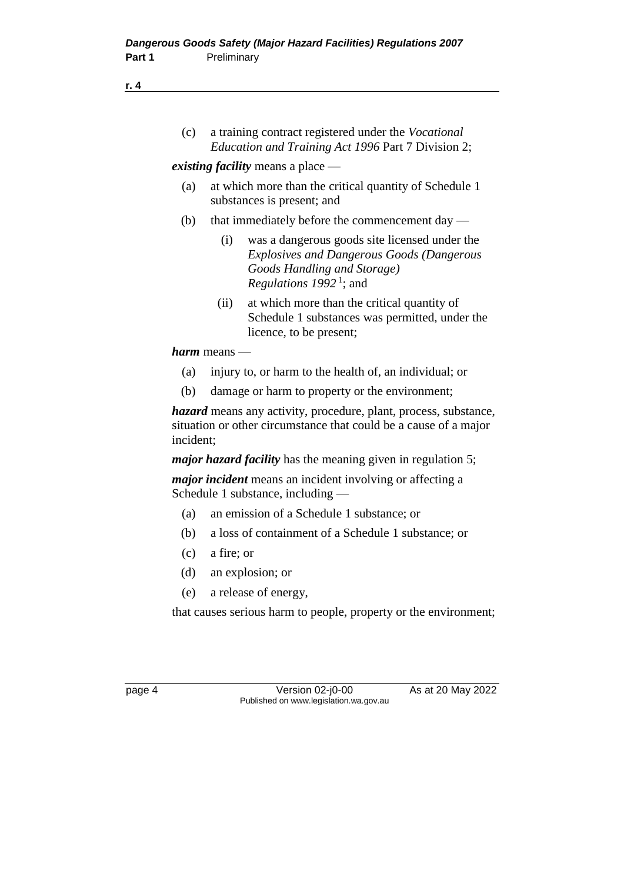#### **r. 4**

(c) a training contract registered under the *Vocational Education and Training Act 1996* Part 7 Division 2;

#### *existing facility* means a place —

- (a) at which more than the critical quantity of Schedule 1 substances is present; and
- (b) that immediately before the commencement day  $-$ 
	- (i) was a dangerous goods site licensed under the *Explosives and Dangerous Goods (Dangerous Goods Handling and Storage) Regulations 1992* <sup>1</sup> ; and
	- (ii) at which more than the critical quantity of Schedule 1 substances was permitted, under the licence, to be present;

*harm* means —

- (a) injury to, or harm to the health of, an individual; or
- (b) damage or harm to property or the environment;

*hazard* means any activity, procedure, plant, process, substance, situation or other circumstance that could be a cause of a major incident;

*major hazard facility* has the meaning given in regulation 5;

*major incident* means an incident involving or affecting a Schedule 1 substance, including —

- (a) an emission of a Schedule 1 substance; or
- (b) a loss of containment of a Schedule 1 substance; or
- (c) a fire; or
- (d) an explosion; or
- (e) a release of energy,

that causes serious harm to people, property or the environment;

page 4 Version 02-j0-00 As at 20 May 2022 Published on www.legislation.wa.gov.au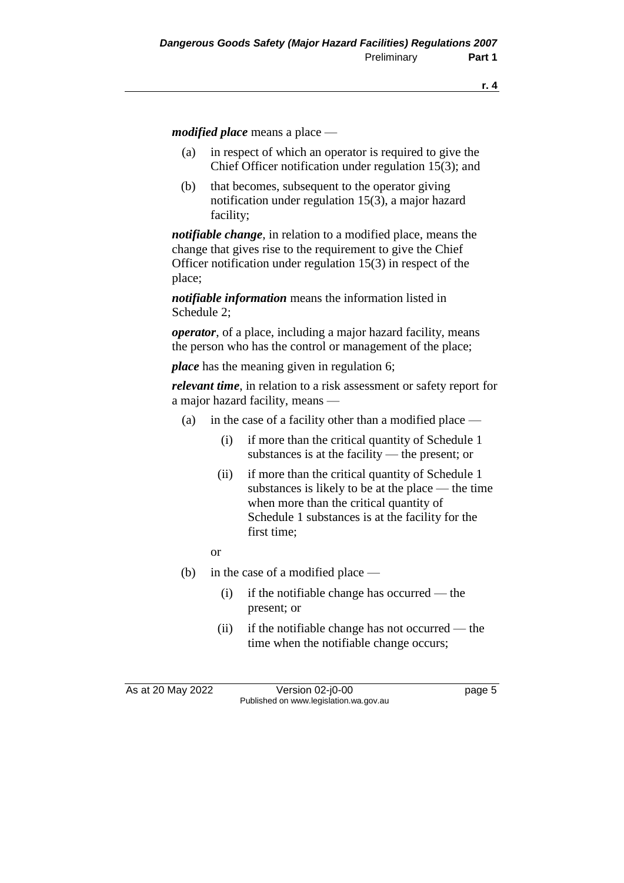*modified place* means a place —

- (a) in respect of which an operator is required to give the Chief Officer notification under regulation 15(3); and
- (b) that becomes, subsequent to the operator giving notification under regulation 15(3), a major hazard facility;

*notifiable change*, in relation to a modified place, means the change that gives rise to the requirement to give the Chief Officer notification under regulation 15(3) in respect of the place;

*notifiable information* means the information listed in Schedule 2;

*operator*, of a place, including a major hazard facility, means the person who has the control or management of the place;

*place* has the meaning given in regulation 6;

*relevant time*, in relation to a risk assessment or safety report for a major hazard facility, means —

- (a) in the case of a facility other than a modified place  $-$ 
	- (i) if more than the critical quantity of Schedule 1 substances is at the facility — the present; or
	- (ii) if more than the critical quantity of Schedule 1 substances is likely to be at the place — the time when more than the critical quantity of Schedule 1 substances is at the facility for the first time;

or

- (b) in the case of a modified place
	- (i) if the notifiable change has occurred the present; or
	- (ii) if the notifiable change has not occurred the time when the notifiable change occurs;

As at 20 May 2022 Version 02-j0-00 Page 5 Published on www.legislation.wa.gov.au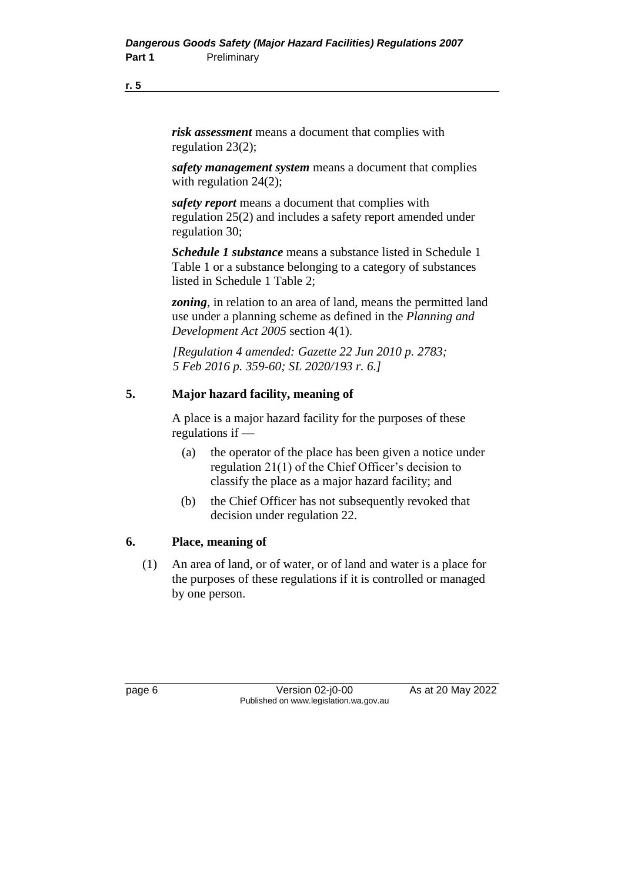#### **r. 5**

*risk assessment* means a document that complies with regulation 23(2);

*safety management system* means a document that complies with regulation 24(2);

*safety report* means a document that complies with regulation 25(2) and includes a safety report amended under regulation 30;

*Schedule 1 substance* means a substance listed in Schedule 1 Table 1 or a substance belonging to a category of substances listed in Schedule 1 Table 2;

*zoning*, in relation to an area of land, means the permitted land use under a planning scheme as defined in the *Planning and Development Act 2005* section 4(1).

*[Regulation 4 amended: Gazette 22 Jun 2010 p. 2783; 5 Feb 2016 p. 359-60; SL 2020/193 r. 6.]*

## **5. Major hazard facility, meaning of**

A place is a major hazard facility for the purposes of these regulations if —

- (a) the operator of the place has been given a notice under regulation 21(1) of the Chief Officer's decision to classify the place as a major hazard facility; and
- (b) the Chief Officer has not subsequently revoked that decision under regulation 22.

### **6. Place, meaning of**

(1) An area of land, or of water, or of land and water is a place for the purposes of these regulations if it is controlled or managed by one person.

page 6 Version 02-j0-00 As at 20 May 2022 Published on www.legislation.wa.gov.au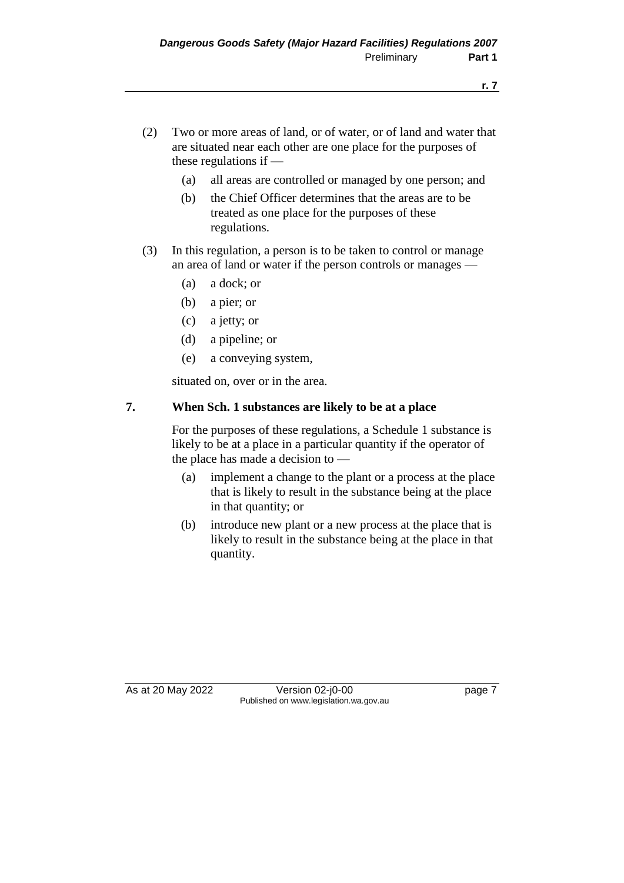- (2) Two or more areas of land, or of water, or of land and water that are situated near each other are one place for the purposes of these regulations if —
	- (a) all areas are controlled or managed by one person; and
	- (b) the Chief Officer determines that the areas are to be treated as one place for the purposes of these regulations.
- (3) In this regulation, a person is to be taken to control or manage an area of land or water if the person controls or manages —
	- (a) a dock; or
	- (b) a pier; or
	- (c) a jetty; or
	- (d) a pipeline; or
	- (e) a conveying system,

situated on, over or in the area.

## **7. When Sch. 1 substances are likely to be at a place**

For the purposes of these regulations, a Schedule 1 substance is likely to be at a place in a particular quantity if the operator of the place has made a decision to —

- (a) implement a change to the plant or a process at the place that is likely to result in the substance being at the place in that quantity; or
- (b) introduce new plant or a new process at the place that is likely to result in the substance being at the place in that quantity.

As at 20 May 2022 Version 02-j0-00 Page 7 Published on www.legislation.wa.gov.au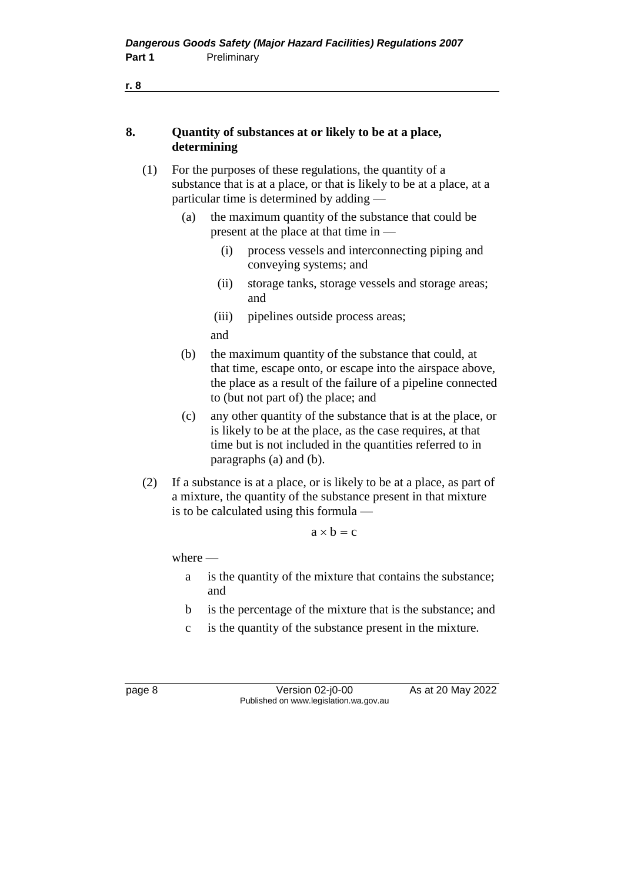| 8.  |           | determining                                                                                                                                                                             | Quantity of substances at or likely to be at a place,                                                                                                                                                                     |  |  |
|-----|-----------|-----------------------------------------------------------------------------------------------------------------------------------------------------------------------------------------|---------------------------------------------------------------------------------------------------------------------------------------------------------------------------------------------------------------------------|--|--|
| (1) |           |                                                                                                                                                                                         | For the purposes of these regulations, the quantity of a<br>substance that is at a place, or that is likely to be at a place, at a<br>particular time is determined by adding -                                           |  |  |
|     | (a)       |                                                                                                                                                                                         | the maximum quantity of the substance that could be<br>present at the place at that time in —                                                                                                                             |  |  |
|     |           | (i)                                                                                                                                                                                     | process vessels and interconnecting piping and<br>conveying systems; and                                                                                                                                                  |  |  |
|     |           | (ii)                                                                                                                                                                                    | storage tanks, storage vessels and storage areas;<br>and                                                                                                                                                                  |  |  |
|     |           | (iii)<br>and                                                                                                                                                                            | pipelines outside process areas;                                                                                                                                                                                          |  |  |
|     | (b)       |                                                                                                                                                                                         | the maximum quantity of the substance that could, at<br>that time, escape onto, or escape into the airspace above,<br>the place as a result of the failure of a pipeline connected<br>to (but not part of) the place; and |  |  |
|     | (c)       |                                                                                                                                                                                         | any other quantity of the substance that is at the place, or<br>is likely to be at the place, as the case requires, at that<br>time but is not included in the quantities referred to in<br>paragraphs (a) and (b).       |  |  |
| (2) |           | If a substance is at a place, or is likely to be at a place, as part of<br>a mixture, the quantity of the substance present in that mixture<br>is to be calculated using this formula - |                                                                                                                                                                                                                           |  |  |
|     |           |                                                                                                                                                                                         | $a \times b = c$                                                                                                                                                                                                          |  |  |
|     | where $-$ |                                                                                                                                                                                         |                                                                                                                                                                                                                           |  |  |
|     |           |                                                                                                                                                                                         |                                                                                                                                                                                                                           |  |  |

- a is the quantity of the mixture that contains the substance; and
- b is the percentage of the mixture that is the substance; and
- c is the quantity of the substance present in the mixture.

page 8 Version 02-j0-00 As at 20 May 2022 Published on www.legislation.wa.gov.au

**r. 8**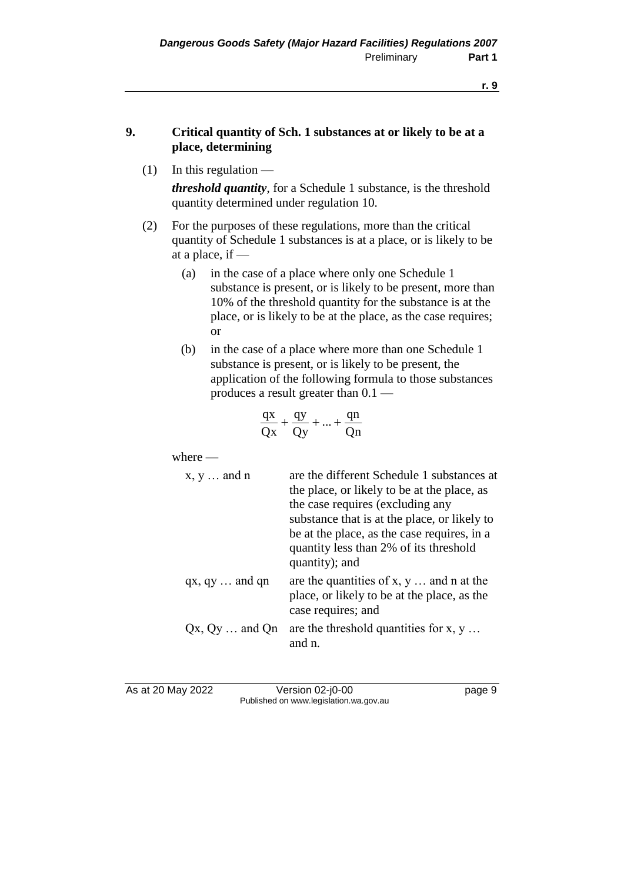## **9. Critical quantity of Sch. 1 substances at or likely to be at a place, determining**

 $(1)$  In this regulation —

*threshold quantity*, for a Schedule 1 substance, is the threshold quantity determined under regulation 10.

- (2) For the purposes of these regulations, more than the critical quantity of Schedule 1 substances is at a place, or is likely to be at a place, if —
	- (a) in the case of a place where only one Schedule 1 substance is present, or is likely to be present, more than 10% of the threshold quantity for the substance is at the place, or is likely to be at the place, as the case requires; or
	- (b) in the case of a place where more than one Schedule 1 substance is present, or is likely to be present, the application of the following formula to those substances produces a result greater than 0.1 —

$$
\frac{qx}{Qx} + \frac{qy}{Qy} + ... + \frac{qn}{Qn}
$$

where —

| $x, y \ldots$ and n      | are the different Schedule 1 substances at<br>the place, or likely to be at the place, as<br>the case requires (excluding any<br>substance that is at the place, or likely to<br>be at the place, as the case requires, in a |
|--------------------------|------------------------------------------------------------------------------------------------------------------------------------------------------------------------------------------------------------------------------|
|                          | quantity less than 2% of its threshold<br>quantity); and                                                                                                                                                                     |
| $qx, qy \ldots$ and $qn$ | are the quantities of $x, y \dots$ and n at the<br>place, or likely to be at the place, as the<br>case requires; and                                                                                                         |
| $Qx, Qy \ldots$ and $Qn$ | are the threshold quantities for $x, y \ldots$<br>and n.                                                                                                                                                                     |

As at 20 May 2022 Version 02-j0-00 Page 9 Published on www.legislation.wa.gov.au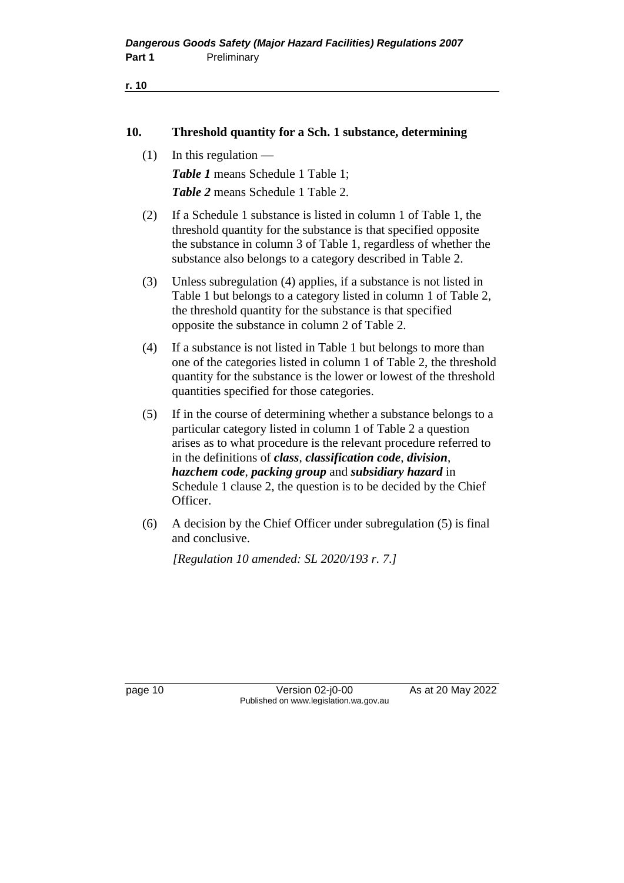```
r. 10
```
#### **10. Threshold quantity for a Sch. 1 substance, determining**

 $(1)$  In this regulation —

*Table 1* means Schedule 1 Table 1; *Table 2* means Schedule 1 Table 2.

- (2) If a Schedule 1 substance is listed in column 1 of Table 1, the threshold quantity for the substance is that specified opposite the substance in column 3 of Table 1, regardless of whether the substance also belongs to a category described in Table 2.
- (3) Unless subregulation (4) applies, if a substance is not listed in Table 1 but belongs to a category listed in column 1 of Table 2, the threshold quantity for the substance is that specified opposite the substance in column 2 of Table 2.
- (4) If a substance is not listed in Table 1 but belongs to more than one of the categories listed in column 1 of Table 2, the threshold quantity for the substance is the lower or lowest of the threshold quantities specified for those categories.
- (5) If in the course of determining whether a substance belongs to a particular category listed in column 1 of Table 2 a question arises as to what procedure is the relevant procedure referred to in the definitions of *class*, *classification code*, *division*, *hazchem code*, *packing group* and *subsidiary hazard* in Schedule 1 clause 2, the question is to be decided by the Chief Officer.
- (6) A decision by the Chief Officer under subregulation (5) is final and conclusive.

*[Regulation 10 amended: SL 2020/193 r. 7.]*

page 10 Version 02-j0-00 As at 20 May 2022 Published on www.legislation.wa.gov.au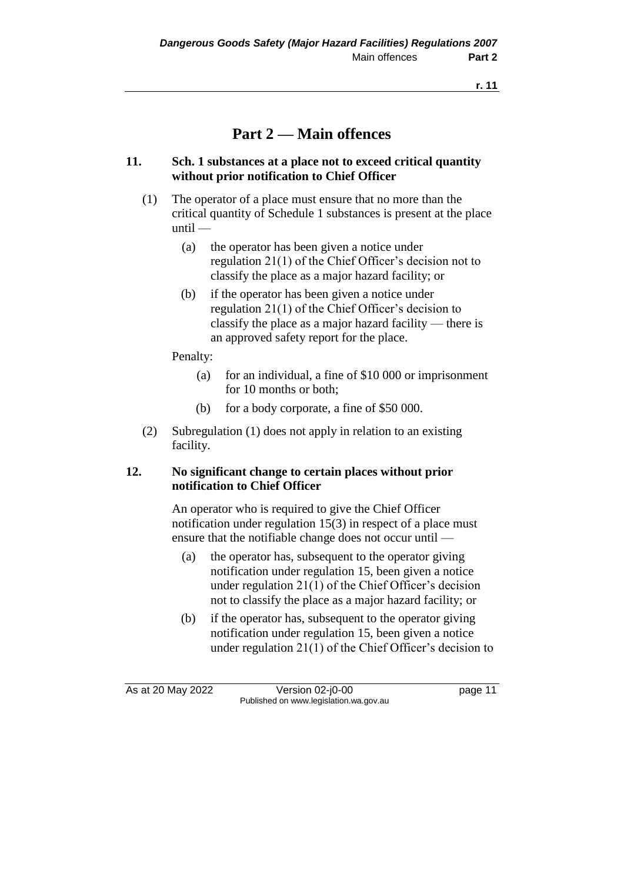# **Part 2 — Main offences**

### **11. Sch. 1 substances at a place not to exceed critical quantity without prior notification to Chief Officer**

- (1) The operator of a place must ensure that no more than the critical quantity of Schedule 1 substances is present at the place until —
	- (a) the operator has been given a notice under regulation 21(1) of the Chief Officer's decision not to classify the place as a major hazard facility; or
	- (b) if the operator has been given a notice under regulation 21(1) of the Chief Officer's decision to classify the place as a major hazard facility — there is an approved safety report for the place.

Penalty:

- (a) for an individual, a fine of \$10 000 or imprisonment for 10 months or both;
- (b) for a body corporate, a fine of \$50 000.
- (2) Subregulation (1) does not apply in relation to an existing facility.

## **12. No significant change to certain places without prior notification to Chief Officer**

An operator who is required to give the Chief Officer notification under regulation 15(3) in respect of a place must ensure that the notifiable change does not occur until —

- (a) the operator has, subsequent to the operator giving notification under regulation 15, been given a notice under regulation 21(1) of the Chief Officer's decision not to classify the place as a major hazard facility; or
- (b) if the operator has, subsequent to the operator giving notification under regulation 15, been given a notice under regulation 21(1) of the Chief Officer's decision to

As at 20 May 2022 Version 02-j0-00 page 11 Published on www.legislation.wa.gov.au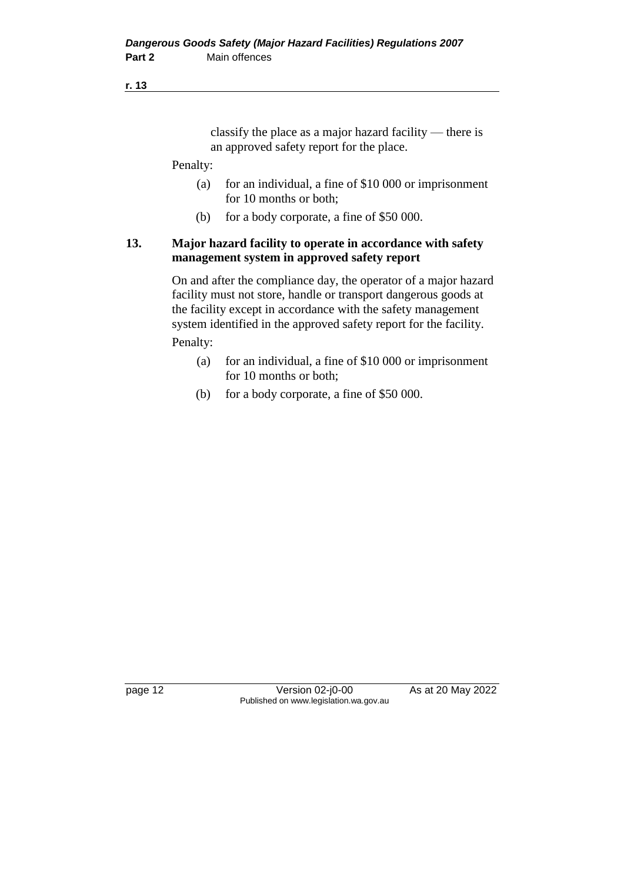#### **r. 13**

classify the place as a major hazard facility — there is an approved safety report for the place.

#### Penalty:

- (a) for an individual, a fine of \$10 000 or imprisonment for 10 months or both;
- (b) for a body corporate, a fine of \$50 000.

## **13. Major hazard facility to operate in accordance with safety management system in approved safety report**

On and after the compliance day, the operator of a major hazard facility must not store, handle or transport dangerous goods at the facility except in accordance with the safety management system identified in the approved safety report for the facility.

Penalty:

- (a) for an individual, a fine of \$10 000 or imprisonment for 10 months or both;
- (b) for a body corporate, a fine of \$50 000.

page 12 Version 02-j0-00 As at 20 May 2022 Published on www.legislation.wa.gov.au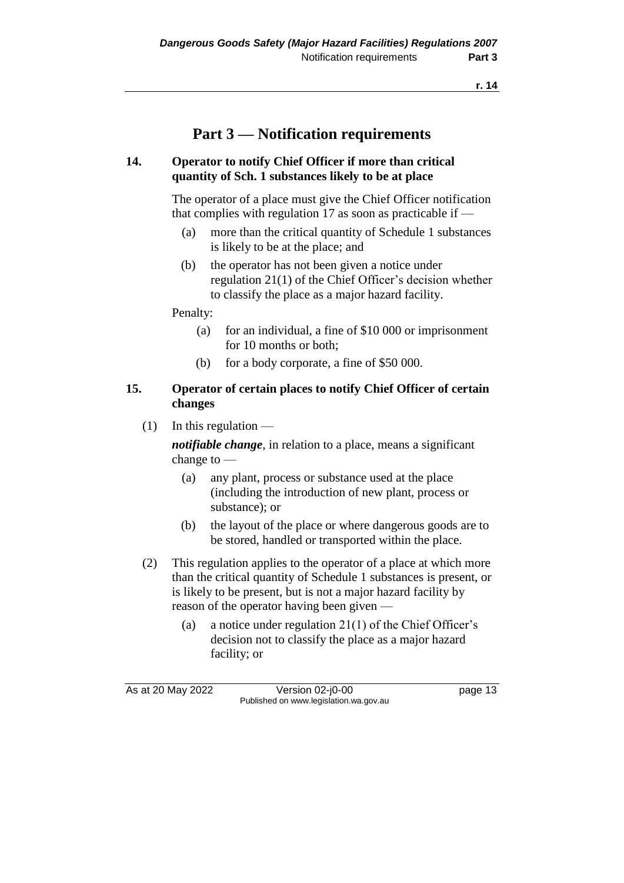# **Part 3 — Notification requirements**

### **14. Operator to notify Chief Officer if more than critical quantity of Sch. 1 substances likely to be at place**

The operator of a place must give the Chief Officer notification that complies with regulation 17 as soon as practicable if  $-$ 

- (a) more than the critical quantity of Schedule 1 substances is likely to be at the place; and
- (b) the operator has not been given a notice under regulation 21(1) of the Chief Officer's decision whether to classify the place as a major hazard facility.

Penalty:

- (a) for an individual, a fine of \$10 000 or imprisonment for 10 months or both;
- (b) for a body corporate, a fine of \$50 000.

## **15. Operator of certain places to notify Chief Officer of certain changes**

 $(1)$  In this regulation —

*notifiable change*, in relation to a place, means a significant change to —

- (a) any plant, process or substance used at the place (including the introduction of new plant, process or substance); or
- (b) the layout of the place or where dangerous goods are to be stored, handled or transported within the place.
- (2) This regulation applies to the operator of a place at which more than the critical quantity of Schedule 1 substances is present, or is likely to be present, but is not a major hazard facility by reason of the operator having been given —
	- (a) a notice under regulation  $21(1)$  of the Chief Officer's decision not to classify the place as a major hazard facility; or

As at 20 May 2022 Version 02-j0-00 Published on www.legislation.wa.gov.au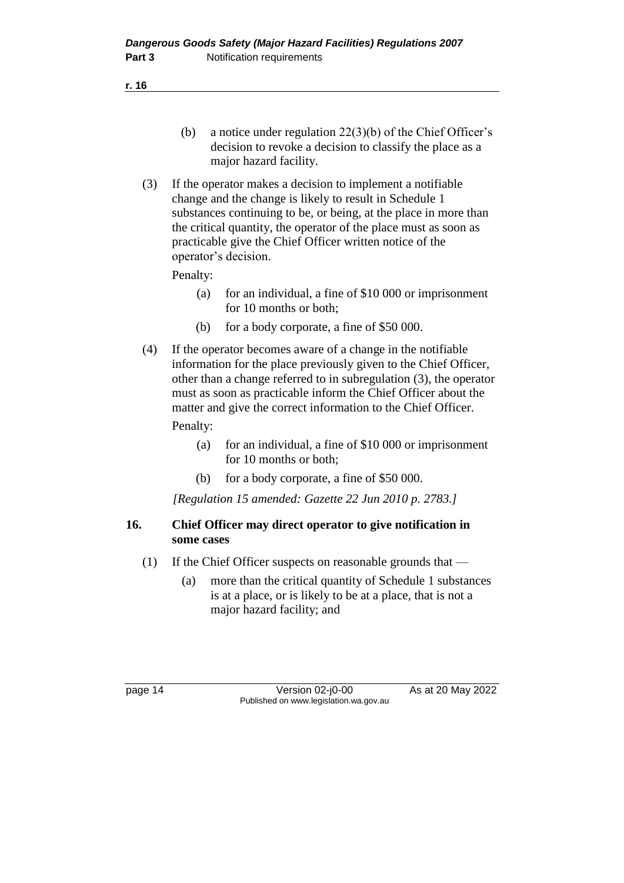**r. 16**

- (b) a notice under regulation 22(3)(b) of the Chief Officer's decision to revoke a decision to classify the place as a major hazard facility.
- (3) If the operator makes a decision to implement a notifiable change and the change is likely to result in Schedule 1 substances continuing to be, or being, at the place in more than the critical quantity, the operator of the place must as soon as practicable give the Chief Officer written notice of the operator's decision.

## Penalty:

- (a) for an individual, a fine of \$10 000 or imprisonment for 10 months or both;
- (b) for a body corporate, a fine of \$50 000.
- (4) If the operator becomes aware of a change in the notifiable information for the place previously given to the Chief Officer, other than a change referred to in subregulation (3), the operator must as soon as practicable inform the Chief Officer about the matter and give the correct information to the Chief Officer. Penalty:
	- (a) for an individual, a fine of \$10 000 or imprisonment for 10 months or both;
	- (b) for a body corporate, a fine of \$50 000.

*[Regulation 15 amended: Gazette 22 Jun 2010 p. 2783.]*

## **16. Chief Officer may direct operator to give notification in some cases**

- (1) If the Chief Officer suspects on reasonable grounds that
	- (a) more than the critical quantity of Schedule 1 substances is at a place, or is likely to be at a place, that is not a major hazard facility; and

page 14 Version 02-j0-00 As at 20 May 2022 Published on www.legislation.wa.gov.au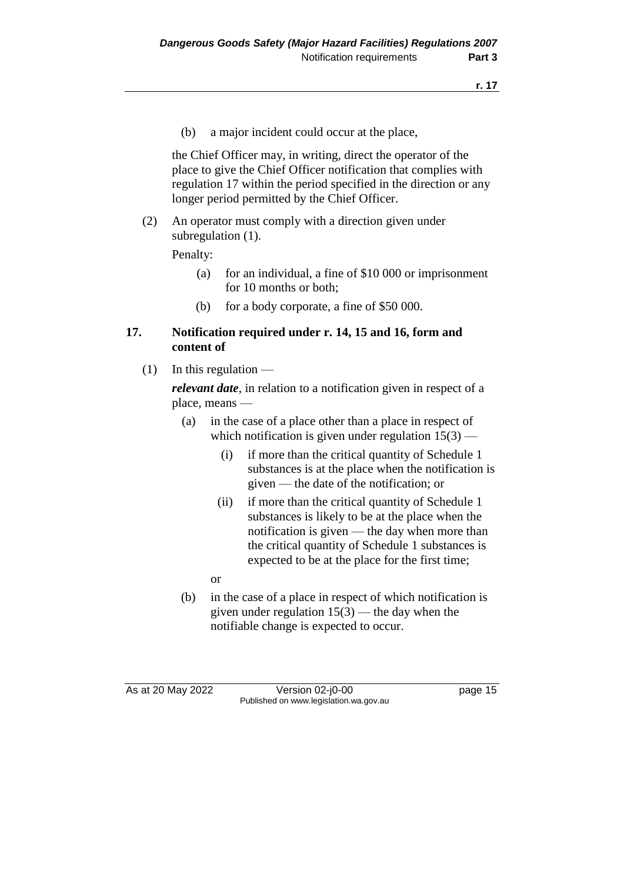(b) a major incident could occur at the place,

the Chief Officer may, in writing, direct the operator of the place to give the Chief Officer notification that complies with regulation 17 within the period specified in the direction or any longer period permitted by the Chief Officer.

(2) An operator must comply with a direction given under subregulation  $(1)$ .

Penalty:

- (a) for an individual, a fine of \$10 000 or imprisonment for 10 months or both;
- (b) for a body corporate, a fine of \$50 000.

#### **17. Notification required under r. 14, 15 and 16, form and content of**

 $(1)$  In this regulation —

*relevant date*, in relation to a notification given in respect of a place, means —

- (a) in the case of a place other than a place in respect of which notification is given under regulation  $15(3)$  —
	- (i) if more than the critical quantity of Schedule 1 substances is at the place when the notification is given — the date of the notification; or
	- (ii) if more than the critical quantity of Schedule 1 substances is likely to be at the place when the notification is given — the day when more than the critical quantity of Schedule 1 substances is expected to be at the place for the first time;
	- or
- (b) in the case of a place in respect of which notification is given under regulation  $15(3)$  — the day when the notifiable change is expected to occur.

As at 20 May 2022 Version 02-j0-00 page 15 Published on www.legislation.wa.gov.au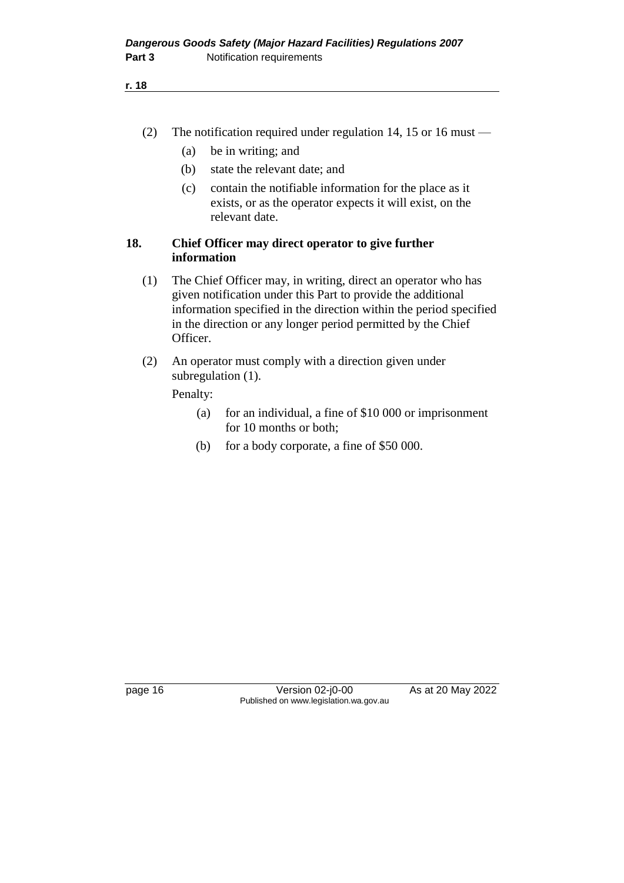- (2) The notification required under regulation 14, 15 or 16 must
	- (a) be in writing; and
	- (b) state the relevant date; and
	- (c) contain the notifiable information for the place as it exists, or as the operator expects it will exist, on the relevant date.

#### **18. Chief Officer may direct operator to give further information**

- (1) The Chief Officer may, in writing, direct an operator who has given notification under this Part to provide the additional information specified in the direction within the period specified in the direction or any longer period permitted by the Chief Officer.
- (2) An operator must comply with a direction given under subregulation (1).

Penalty:

- (a) for an individual, a fine of \$10 000 or imprisonment for 10 months or both;
- (b) for a body corporate, a fine of \$50 000.

page 16 Version 02-j0-00 As at 20 May 2022 Published on www.legislation.wa.gov.au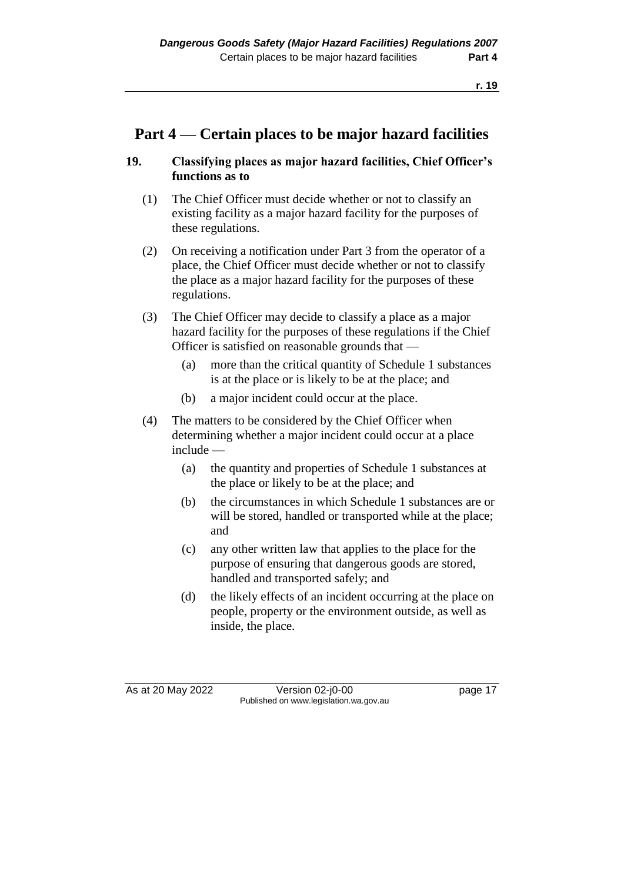# **Part 4 — Certain places to be major hazard facilities**

## **19. Classifying places as major hazard facilities, Chief Officer's functions as to**

- (1) The Chief Officer must decide whether or not to classify an existing facility as a major hazard facility for the purposes of these regulations.
- (2) On receiving a notification under Part 3 from the operator of a place, the Chief Officer must decide whether or not to classify the place as a major hazard facility for the purposes of these regulations.
- (3) The Chief Officer may decide to classify a place as a major hazard facility for the purposes of these regulations if the Chief Officer is satisfied on reasonable grounds that —
	- (a) more than the critical quantity of Schedule 1 substances is at the place or is likely to be at the place; and
	- (b) a major incident could occur at the place.
- (4) The matters to be considered by the Chief Officer when determining whether a major incident could occur at a place include —
	- (a) the quantity and properties of Schedule 1 substances at the place or likely to be at the place; and
	- (b) the circumstances in which Schedule 1 substances are or will be stored, handled or transported while at the place; and
	- (c) any other written law that applies to the place for the purpose of ensuring that dangerous goods are stored, handled and transported safely; and
	- (d) the likely effects of an incident occurring at the place on people, property or the environment outside, as well as inside, the place.

As at 20 May 2022 Version 02-j0-00 page 17 Published on www.legislation.wa.gov.au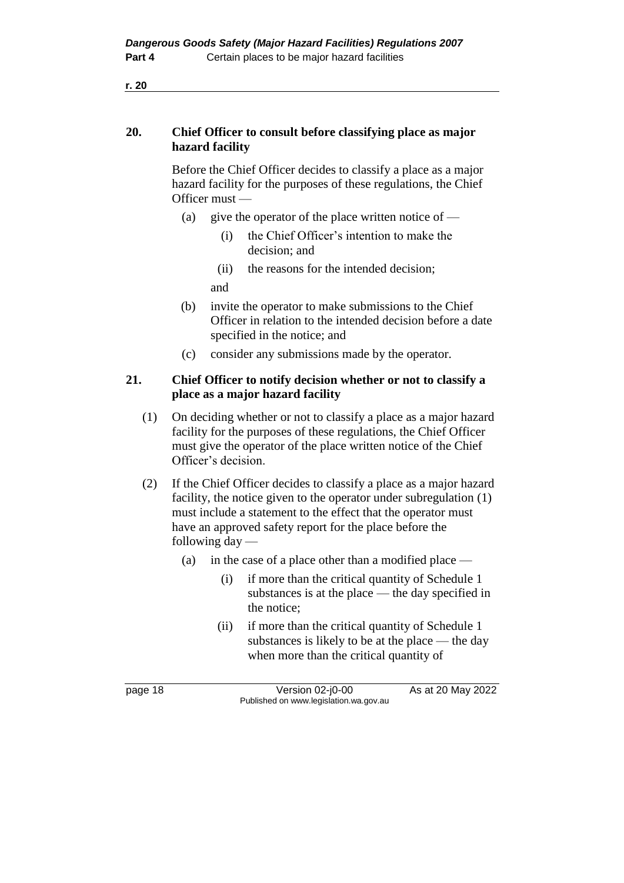Before the Chief Officer decides to classify a place as a major hazard facility for the purposes of these regulations, the Chief Officer must —

- (a) give the operator of the place written notice of
	- (i) the Chief Officer's intention to make the decision; and
	- (ii) the reasons for the intended decision;

and

- (b) invite the operator to make submissions to the Chief Officer in relation to the intended decision before a date specified in the notice; and
- (c) consider any submissions made by the operator.

## **21. Chief Officer to notify decision whether or not to classify a place as a major hazard facility**

- (1) On deciding whether or not to classify a place as a major hazard facility for the purposes of these regulations, the Chief Officer must give the operator of the place written notice of the Chief Officer's decision.
- (2) If the Chief Officer decides to classify a place as a major hazard facility, the notice given to the operator under subregulation (1) must include a statement to the effect that the operator must have an approved safety report for the place before the following day —
	- (a) in the case of a place other than a modified place
		- (i) if more than the critical quantity of Schedule 1 substances is at the place — the day specified in the notice;
		- (ii) if more than the critical quantity of Schedule 1 substances is likely to be at the place — the day when more than the critical quantity of

page 18 Version 02-j0-00 As at 20 May 2022 Published on www.legislation.wa.gov.au

**r. 20**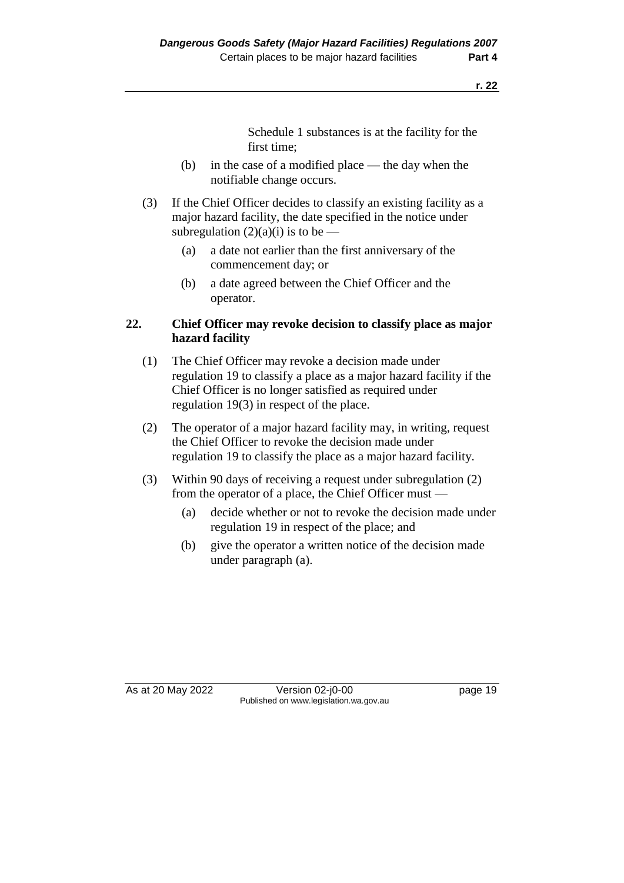Schedule 1 substances is at the facility for the first time;

- (b) in the case of a modified place the day when the notifiable change occurs.
- (3) If the Chief Officer decides to classify an existing facility as a major hazard facility, the date specified in the notice under subregulation  $(2)(a)(i)$  is to be —
	- (a) a date not earlier than the first anniversary of the commencement day; or
	- (b) a date agreed between the Chief Officer and the operator.

## **22. Chief Officer may revoke decision to classify place as major hazard facility**

- (1) The Chief Officer may revoke a decision made under regulation 19 to classify a place as a major hazard facility if the Chief Officer is no longer satisfied as required under regulation 19(3) in respect of the place.
- (2) The operator of a major hazard facility may, in writing, request the Chief Officer to revoke the decision made under regulation 19 to classify the place as a major hazard facility.
- (3) Within 90 days of receiving a request under subregulation (2) from the operator of a place, the Chief Officer must -
	- (a) decide whether or not to revoke the decision made under regulation 19 in respect of the place; and
	- (b) give the operator a written notice of the decision made under paragraph (a).

As at 20 May 2022 Version 02-j0-00 Published on www.legislation.wa.gov.au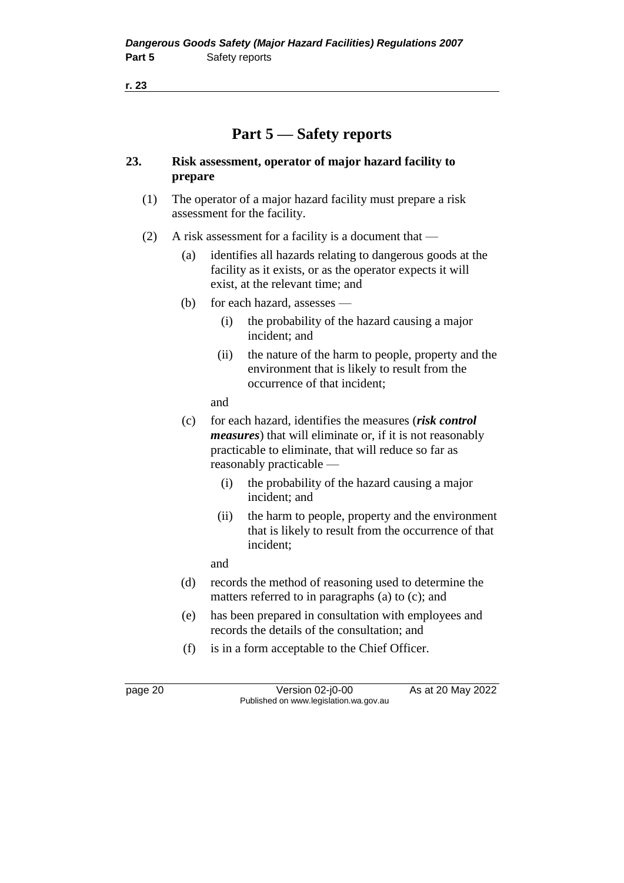**r. 23**

# **Part 5 — Safety reports**

## **23. Risk assessment, operator of major hazard facility to prepare**

- (1) The operator of a major hazard facility must prepare a risk assessment for the facility.
- (2) A risk assessment for a facility is a document that
	- (a) identifies all hazards relating to dangerous goods at the facility as it exists, or as the operator expects it will exist, at the relevant time; and
	- (b) for each hazard, assesses
		- (i) the probability of the hazard causing a major incident; and
		- (ii) the nature of the harm to people, property and the environment that is likely to result from the occurrence of that incident;

and

- (c) for each hazard, identifies the measures (*risk control measures*) that will eliminate or, if it is not reasonably practicable to eliminate, that will reduce so far as reasonably practicable —
	- (i) the probability of the hazard causing a major incident; and
	- (ii) the harm to people, property and the environment that is likely to result from the occurrence of that incident;

and

- (d) records the method of reasoning used to determine the matters referred to in paragraphs (a) to (c); and
- (e) has been prepared in consultation with employees and records the details of the consultation; and
- (f) is in a form acceptable to the Chief Officer.

page 20 Version 02-j0-00 As at 20 May 2022 Published on www.legislation.wa.gov.au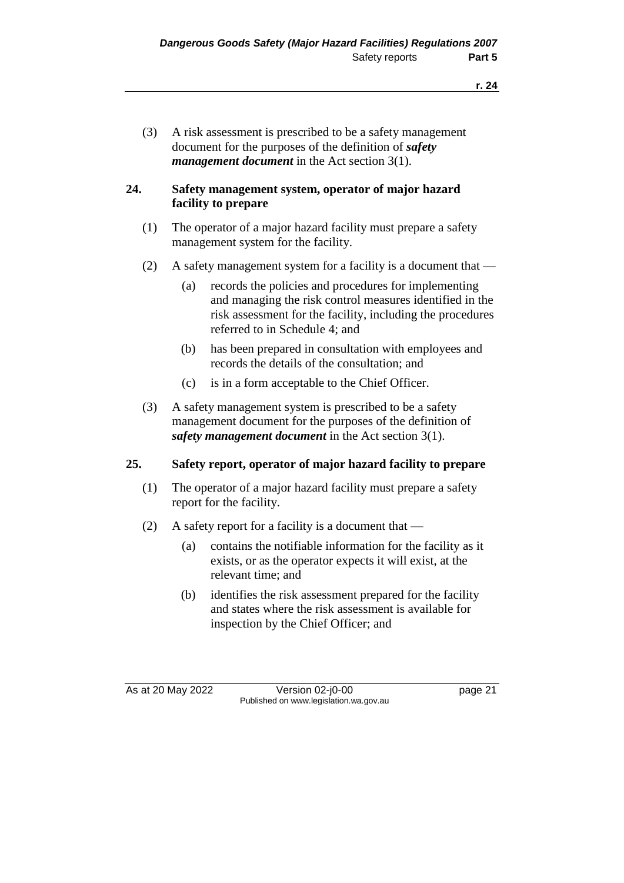(3) A risk assessment is prescribed to be a safety management document for the purposes of the definition of *safety management document* in the Act section 3(1).

## **24. Safety management system, operator of major hazard facility to prepare**

- (1) The operator of a major hazard facility must prepare a safety management system for the facility.
- (2) A safety management system for a facility is a document that
	- (a) records the policies and procedures for implementing and managing the risk control measures identified in the risk assessment for the facility, including the procedures referred to in Schedule 4; and
	- (b) has been prepared in consultation with employees and records the details of the consultation; and
	- (c) is in a form acceptable to the Chief Officer.
- (3) A safety management system is prescribed to be a safety management document for the purposes of the definition of *safety management document* in the Act section 3(1).

## **25. Safety report, operator of major hazard facility to prepare**

- (1) The operator of a major hazard facility must prepare a safety report for the facility.
- (2) A safety report for a facility is a document that  $-$ 
	- (a) contains the notifiable information for the facility as it exists, or as the operator expects it will exist, at the relevant time; and
	- (b) identifies the risk assessment prepared for the facility and states where the risk assessment is available for inspection by the Chief Officer; and

As at 20 May 2022 Version 02-j0-00 page 21 Published on www.legislation.wa.gov.au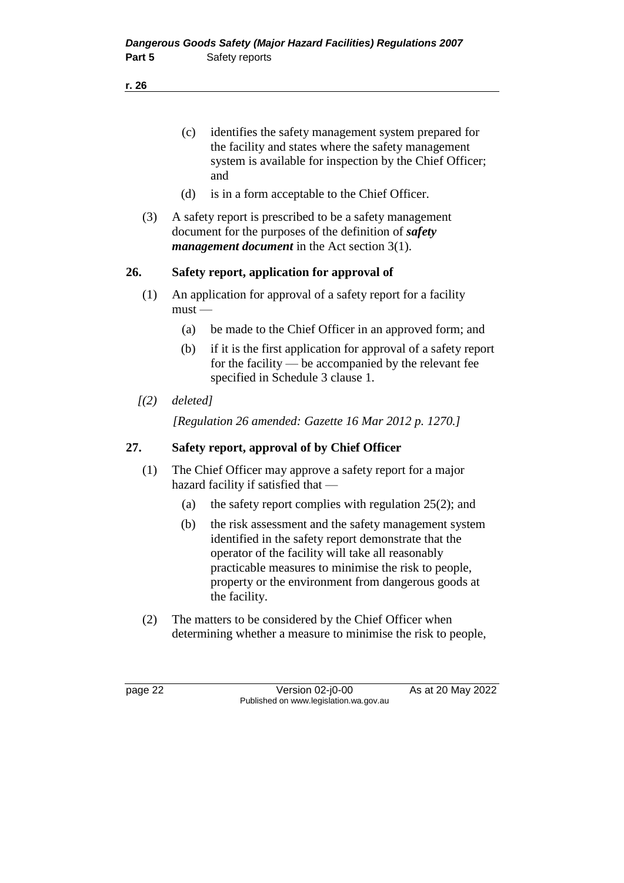**r. 26**

- (c) identifies the safety management system prepared for the facility and states where the safety management system is available for inspection by the Chief Officer; and
- (d) is in a form acceptable to the Chief Officer.
- (3) A safety report is prescribed to be a safety management document for the purposes of the definition of *safety management document* in the Act section 3(1).

# **26. Safety report, application for approval of**

- (1) An application for approval of a safety report for a facility must —
	- (a) be made to the Chief Officer in an approved form; and
	- (b) if it is the first application for approval of a safety report for the facility — be accompanied by the relevant fee specified in Schedule 3 clause 1.
- *[(2) deleted]*

*[Regulation 26 amended: Gazette 16 Mar 2012 p. 1270.]*

## **27. Safety report, approval of by Chief Officer**

- (1) The Chief Officer may approve a safety report for a major hazard facility if satisfied that —
	- (a) the safety report complies with regulation 25(2); and
	- (b) the risk assessment and the safety management system identified in the safety report demonstrate that the operator of the facility will take all reasonably practicable measures to minimise the risk to people, property or the environment from dangerous goods at the facility.
- (2) The matters to be considered by the Chief Officer when determining whether a measure to minimise the risk to people,

page 22 Version 02-j0-00 As at 20 May 2022 Published on www.legislation.wa.gov.au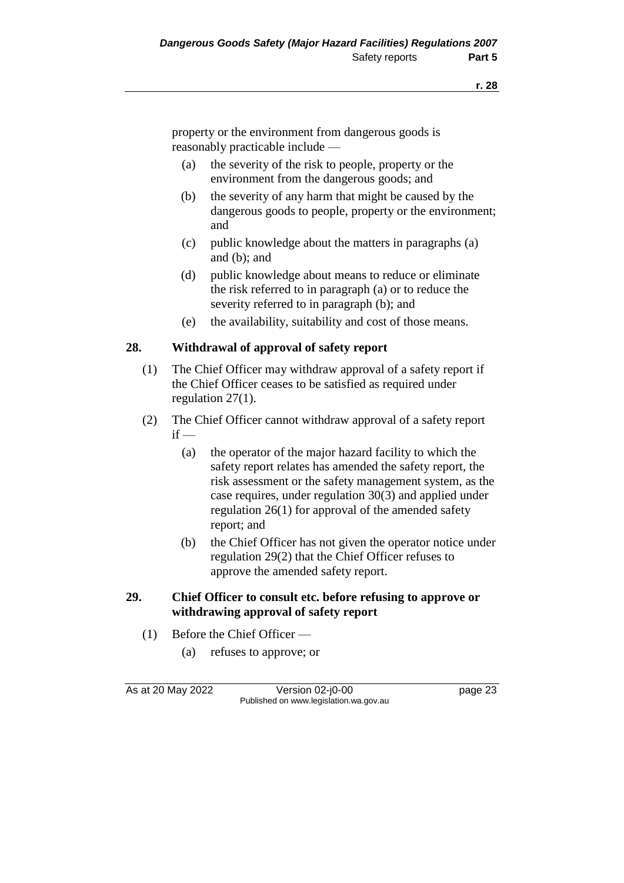property or the environment from dangerous goods is reasonably practicable include —

- (a) the severity of the risk to people, property or the environment from the dangerous goods; and
- (b) the severity of any harm that might be caused by the dangerous goods to people, property or the environment; and
- (c) public knowledge about the matters in paragraphs (a) and (b); and
- (d) public knowledge about means to reduce or eliminate the risk referred to in paragraph (a) or to reduce the severity referred to in paragraph (b); and
- (e) the availability, suitability and cost of those means.

# **28. Withdrawal of approval of safety report**

- (1) The Chief Officer may withdraw approval of a safety report if the Chief Officer ceases to be satisfied as required under regulation 27(1).
- (2) The Chief Officer cannot withdraw approval of a safety report  $if -$ 
	- (a) the operator of the major hazard facility to which the safety report relates has amended the safety report, the risk assessment or the safety management system, as the case requires, under regulation 30(3) and applied under regulation 26(1) for approval of the amended safety report; and
	- (b) the Chief Officer has not given the operator notice under regulation 29(2) that the Chief Officer refuses to approve the amended safety report.

## **29. Chief Officer to consult etc. before refusing to approve or withdrawing approval of safety report**

- (1) Before the Chief Officer
	- (a) refuses to approve; or

As at 20 May 2022 Version 02-j0-00 Page 23 Published on www.legislation.wa.gov.au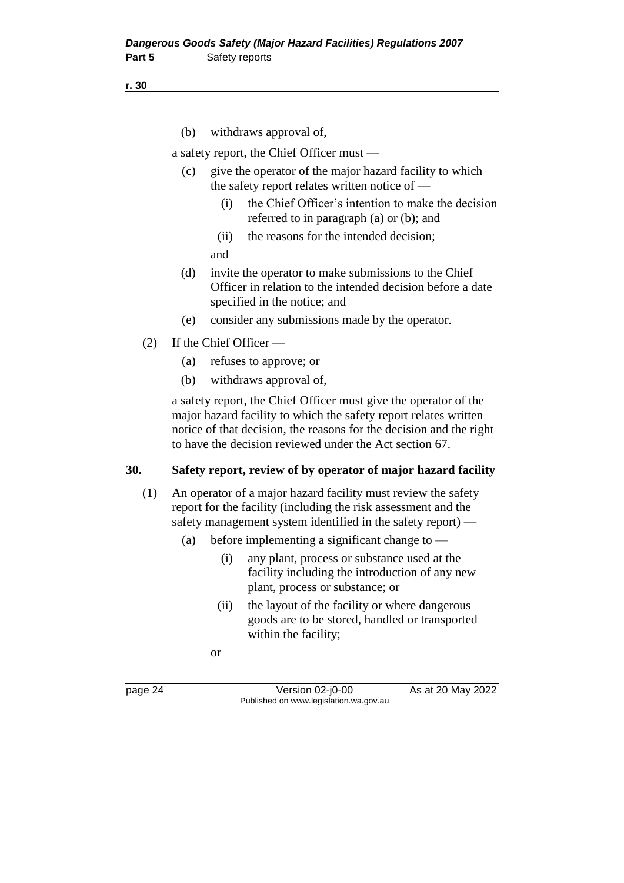#### **r. 30**

(b) withdraws approval of,

a safety report, the Chief Officer must —

- (c) give the operator of the major hazard facility to which the safety report relates written notice of —
	- (i) the Chief Officer's intention to make the decision referred to in paragraph (a) or (b); and
	- (ii) the reasons for the intended decision;
	- and
- (d) invite the operator to make submissions to the Chief Officer in relation to the intended decision before a date specified in the notice; and
- (e) consider any submissions made by the operator.
- (2) If the Chief Officer
	- (a) refuses to approve; or
	- (b) withdraws approval of,

a safety report, the Chief Officer must give the operator of the major hazard facility to which the safety report relates written notice of that decision, the reasons for the decision and the right to have the decision reviewed under the Act section 67.

### **30. Safety report, review of by operator of major hazard facility**

- (1) An operator of a major hazard facility must review the safety report for the facility (including the risk assessment and the safety management system identified in the safety report) —
	- (a) before implementing a significant change to
		- (i) any plant, process or substance used at the facility including the introduction of any new plant, process or substance; or
		- (ii) the layout of the facility or where dangerous goods are to be stored, handled or transported within the facility;

or

page 24 Version 02-j0-00 As at 20 May 2022 Published on www.legislation.wa.gov.au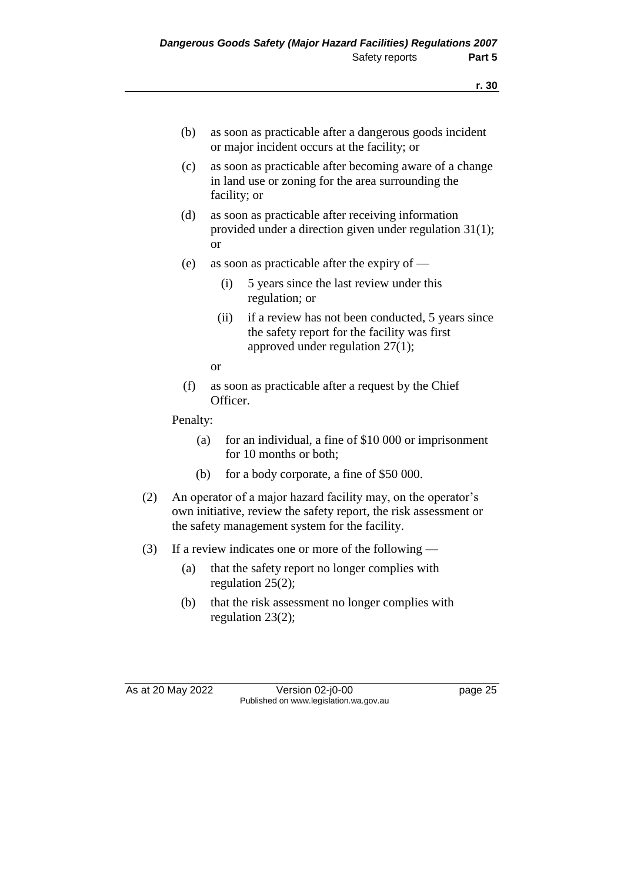- (b) as soon as practicable after a dangerous goods incident or major incident occurs at the facility; or
- (c) as soon as practicable after becoming aware of a change in land use or zoning for the area surrounding the facility; or
- (d) as soon as practicable after receiving information provided under a direction given under regulation 31(1); or
- (e) as soon as practicable after the expiry of
	- (i) 5 years since the last review under this regulation; or
	- (ii) if a review has not been conducted, 5 years since the safety report for the facility was first approved under regulation 27(1);
	- or
- (f) as soon as practicable after a request by the Chief Officer.

Penalty:

- (a) for an individual, a fine of \$10 000 or imprisonment for 10 months or both;
- (b) for a body corporate, a fine of \$50 000.
- (2) An operator of a major hazard facility may, on the operator's own initiative, review the safety report, the risk assessment or the safety management system for the facility.
- (3) If a review indicates one or more of the following
	- (a) that the safety report no longer complies with regulation 25(2);
	- (b) that the risk assessment no longer complies with regulation 23(2);

As at 20 May 2022 Version 02-j0-00 Published on www.legislation.wa.gov.au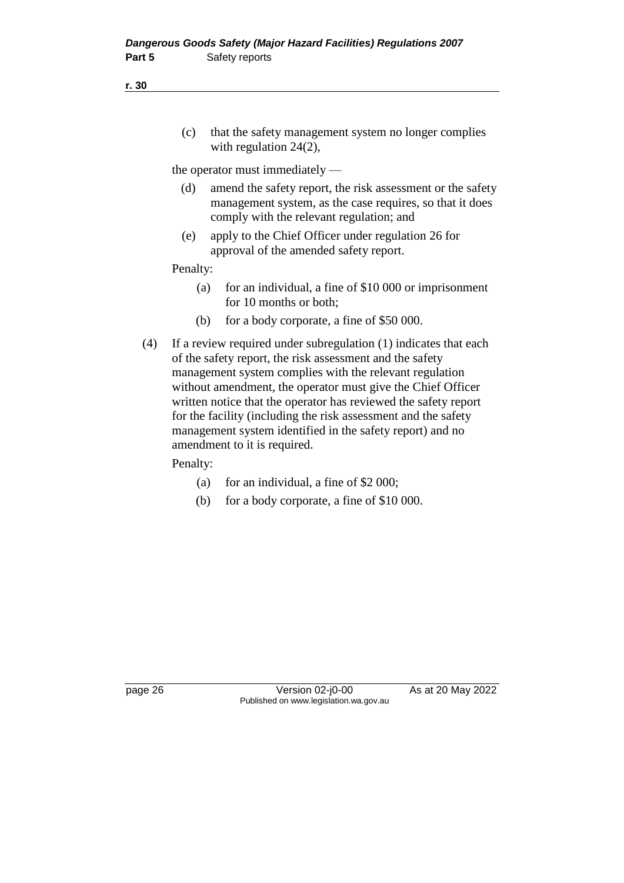**r. 30**

(c) that the safety management system no longer complies with regulation 24(2),

the operator must immediately —

- (d) amend the safety report, the risk assessment or the safety management system, as the case requires, so that it does comply with the relevant regulation; and
- (e) apply to the Chief Officer under regulation 26 for approval of the amended safety report.

Penalty:

- (a) for an individual, a fine of \$10 000 or imprisonment for 10 months or both;
- (b) for a body corporate, a fine of \$50 000.
- (4) If a review required under subregulation (1) indicates that each of the safety report, the risk assessment and the safety management system complies with the relevant regulation without amendment, the operator must give the Chief Officer written notice that the operator has reviewed the safety report for the facility (including the risk assessment and the safety management system identified in the safety report) and no amendment to it is required.

Penalty:

- (a) for an individual, a fine of \$2 000;
- (b) for a body corporate, a fine of \$10 000.

page 26 Version 02-j0-00 As at 20 May 2022 Published on www.legislation.wa.gov.au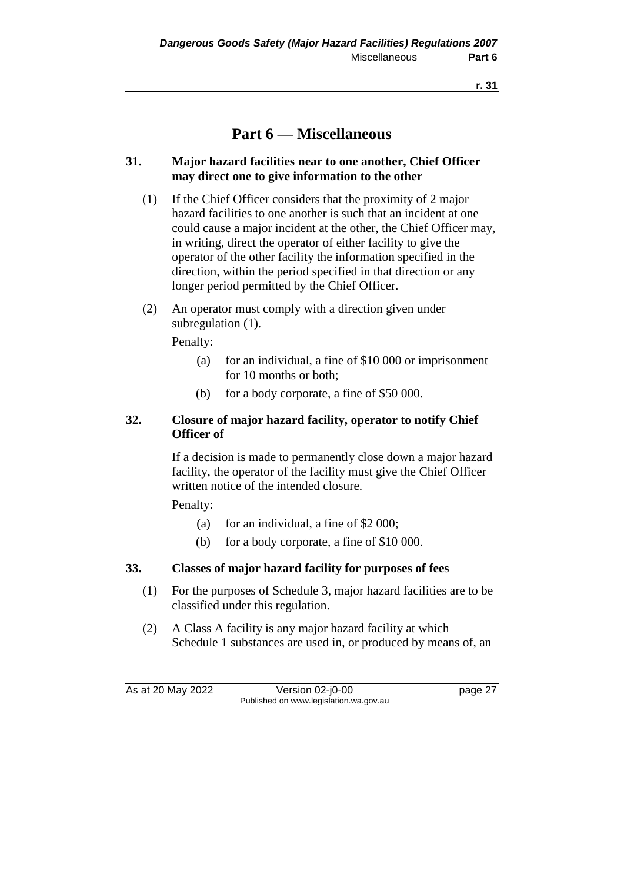# **Part 6 — Miscellaneous**

## **31. Major hazard facilities near to one another, Chief Officer may direct one to give information to the other**

- (1) If the Chief Officer considers that the proximity of 2 major hazard facilities to one another is such that an incident at one could cause a major incident at the other, the Chief Officer may, in writing, direct the operator of either facility to give the operator of the other facility the information specified in the direction, within the period specified in that direction or any longer period permitted by the Chief Officer.
- (2) An operator must comply with a direction given under subregulation  $(1)$ .

Penalty:

- (a) for an individual, a fine of \$10 000 or imprisonment for 10 months or both;
- (b) for a body corporate, a fine of \$50 000.

## **32. Closure of major hazard facility, operator to notify Chief Officer of**

If a decision is made to permanently close down a major hazard facility, the operator of the facility must give the Chief Officer written notice of the intended closure.

Penalty:

- (a) for an individual, a fine of \$2 000;
- (b) for a body corporate, a fine of \$10 000.

## **33. Classes of major hazard facility for purposes of fees**

- (1) For the purposes of Schedule 3, major hazard facilities are to be classified under this regulation.
- (2) A Class A facility is any major hazard facility at which Schedule 1 substances are used in, or produced by means of, an

As at 20 May 2022 Version 02-j0-00 page 27 Published on www.legislation.wa.gov.au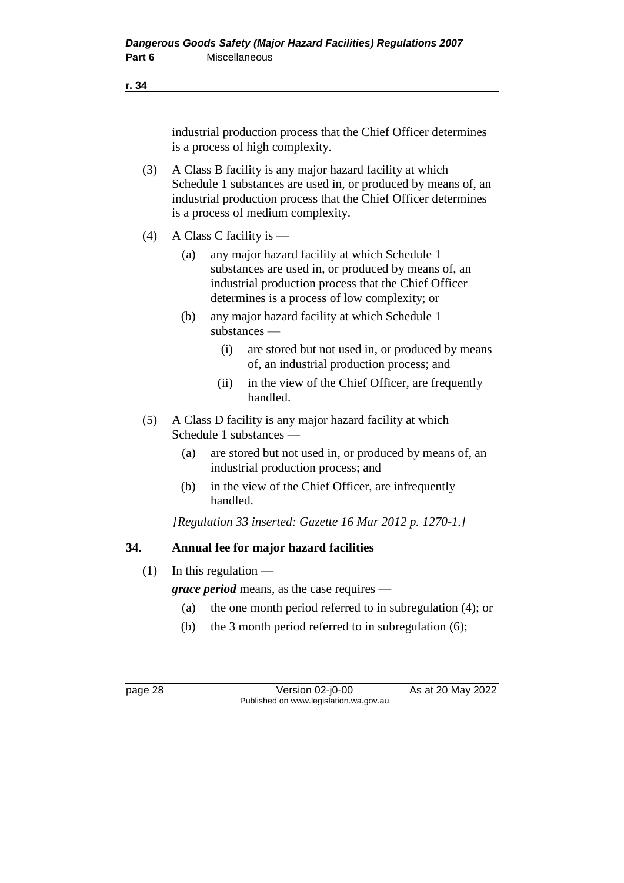industrial production process that the Chief Officer determines is a process of high complexity.

- (3) A Class B facility is any major hazard facility at which Schedule 1 substances are used in, or produced by means of, an industrial production process that the Chief Officer determines is a process of medium complexity.
- (4) A Class C facility is
	- (a) any major hazard facility at which Schedule 1 substances are used in, or produced by means of, an industrial production process that the Chief Officer determines is a process of low complexity; or
	- (b) any major hazard facility at which Schedule 1 substances —
		- (i) are stored but not used in, or produced by means of, an industrial production process; and
		- (ii) in the view of the Chief Officer, are frequently handled.
- (5) A Class D facility is any major hazard facility at which Schedule 1 substances —
	- (a) are stored but not used in, or produced by means of, an industrial production process; and
	- (b) in the view of the Chief Officer, are infrequently handled.

*[Regulation 33 inserted: Gazette 16 Mar 2012 p. 1270-1.]*

## **34. Annual fee for major hazard facilities**

 $(1)$  In this regulation —

*grace period* means, as the case requires —

- (a) the one month period referred to in subregulation (4); or
- (b) the 3 month period referred to in subregulation (6);

page 28 Version 02-j0-00 As at 20 May 2022 Published on www.legislation.wa.gov.au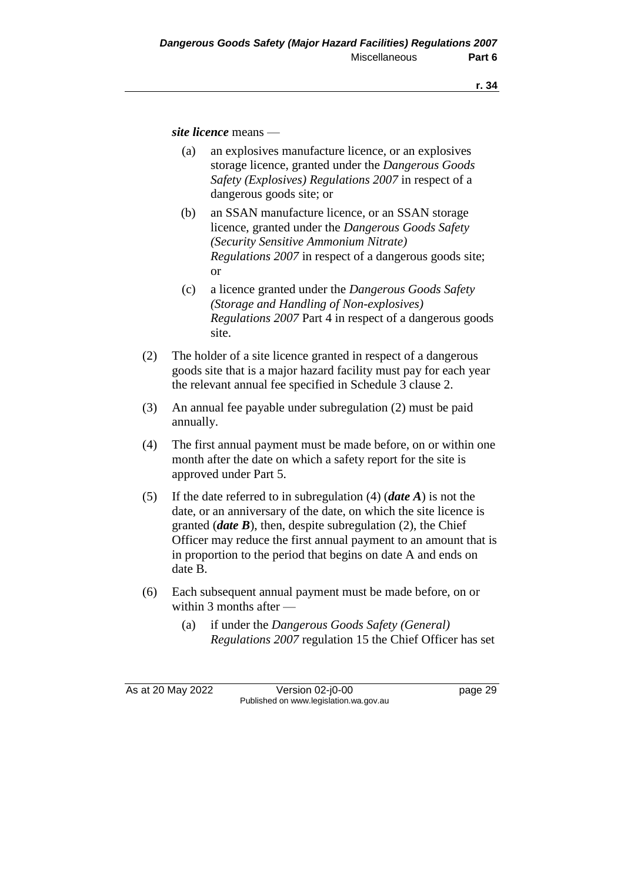*site licence* means —

- (a) an explosives manufacture licence, or an explosives storage licence, granted under the *Dangerous Goods Safety (Explosives) Regulations 2007* in respect of a dangerous goods site; or
- (b) an SSAN manufacture licence, or an SSAN storage licence, granted under the *Dangerous Goods Safety (Security Sensitive Ammonium Nitrate) Regulations 2007* in respect of a dangerous goods site; or
- (c) a licence granted under the *Dangerous Goods Safety (Storage and Handling of Non-explosives) Regulations 2007* Part 4 in respect of a dangerous goods site.
- (2) The holder of a site licence granted in respect of a dangerous goods site that is a major hazard facility must pay for each year the relevant annual fee specified in Schedule 3 clause 2.
- (3) An annual fee payable under subregulation (2) must be paid annually.
- (4) The first annual payment must be made before, on or within one month after the date on which a safety report for the site is approved under Part 5.
- (5) If the date referred to in subregulation (4) (*date A*) is not the date, or an anniversary of the date, on which the site licence is granted (*date B*), then, despite subregulation (2), the Chief Officer may reduce the first annual payment to an amount that is in proportion to the period that begins on date A and ends on date B.
- (6) Each subsequent annual payment must be made before, on or within 3 months after —
	- (a) if under the *Dangerous Goods Safety (General) Regulations 2007* regulation 15 the Chief Officer has set

As at 20 May 2022 Version 02-j0-00 page 29 Published on www.legislation.wa.gov.au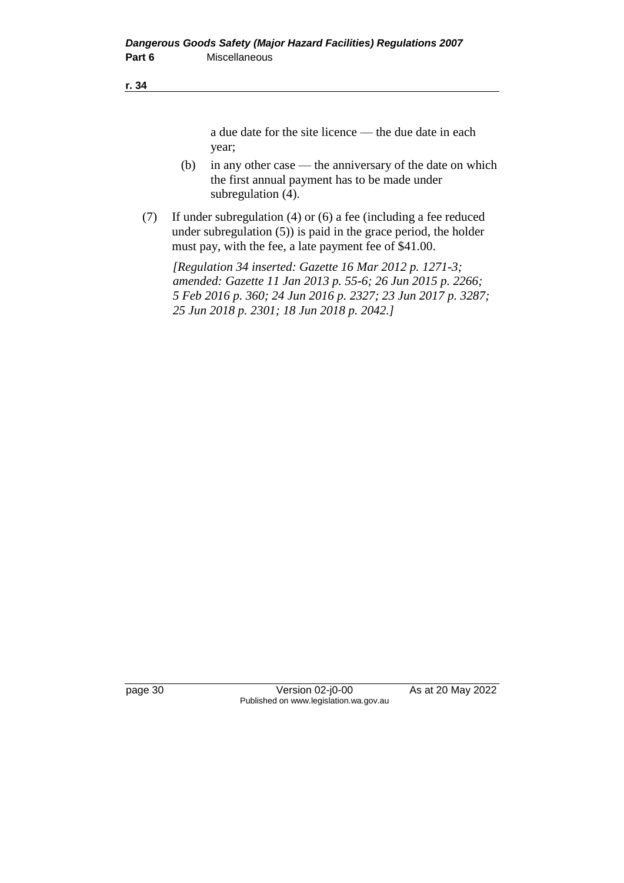a due date for the site licence — the due date in each year;

- (b) in any other case the anniversary of the date on which the first annual payment has to be made under subregulation (4).
- (7) If under subregulation (4) or (6) a fee (including a fee reduced under subregulation (5)) is paid in the grace period, the holder must pay, with the fee, a late payment fee of \$41.00.

*[Regulation 34 inserted: Gazette 16 Mar 2012 p. 1271-3; amended: Gazette 11 Jan 2013 p. 55-6; 26 Jun 2015 p. 2266; 5 Feb 2016 p. 360; 24 Jun 2016 p. 2327; 23 Jun 2017 p. 3287; 25 Jun 2018 p. 2301; 18 Jun 2018 p. 2042.]*

page 30 Version 02-j0-00 As at 20 May 2022 Published on www.legislation.wa.gov.au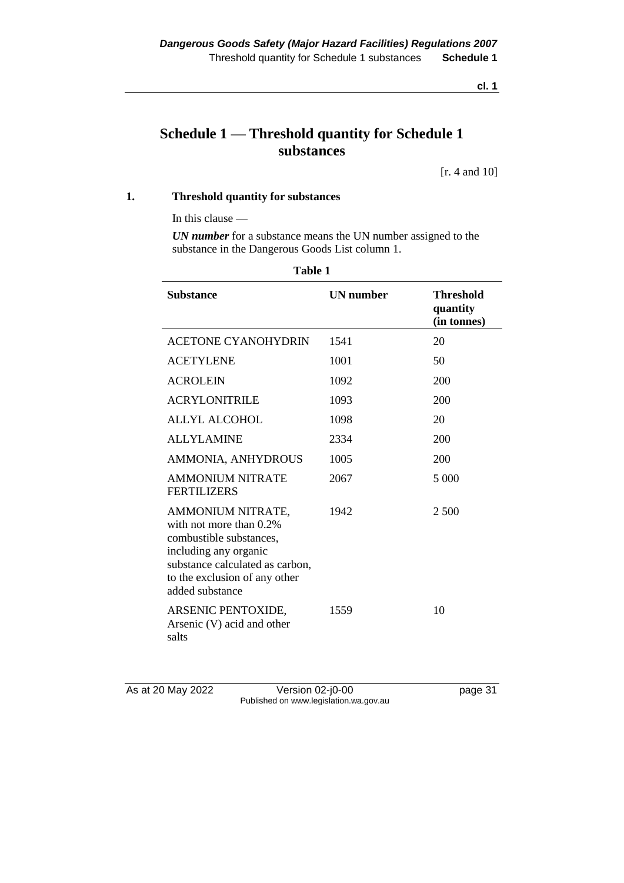# **Schedule 1 — Threshold quantity for Schedule 1 substances**

[r. 4 and 10]

#### **1. Threshold quantity for substances**

In this clause —

*UN number* for a substance means the UN number assigned to the substance in the Dangerous Goods List column 1.

| Substance                                                                                                                                                                               | <b>UN</b> number | <b>Threshold</b><br>quantity<br>(in tonnes) |
|-----------------------------------------------------------------------------------------------------------------------------------------------------------------------------------------|------------------|---------------------------------------------|
| <b>ACETONE CYANOHYDRIN</b>                                                                                                                                                              | 1541             | 20                                          |
| <b>ACETYLENE</b>                                                                                                                                                                        | 1001             | 50                                          |
| <b>ACROLEIN</b>                                                                                                                                                                         | 1092             | 200                                         |
| <b>ACRYLONITRILE</b>                                                                                                                                                                    | 1093             | 200                                         |
| <b>ALLYL ALCOHOL</b>                                                                                                                                                                    | 1098             | 20                                          |
| <b>ALLYLAMINE</b>                                                                                                                                                                       | 2334             | 200                                         |
| AMMONIA, ANHYDROUS                                                                                                                                                                      | 1005             | 200                                         |
| <b>AMMONIUM NITRATE</b><br><b>FERTILIZERS</b>                                                                                                                                           | 2067             | 5 000                                       |
| AMMONIUM NITRATE,<br>with not more than 0.2%<br>combustible substances,<br>including any organic<br>substance calculated as carbon,<br>to the exclusion of any other<br>added substance | 1942             | 2 500                                       |
| ARSENIC PENTOXIDE,<br>Arsenic (V) acid and other<br>salts                                                                                                                               | 1559             | 10                                          |

As at 20 May 2022 Version 02-j0-00 Page 31 Published on www.legislation.wa.gov.au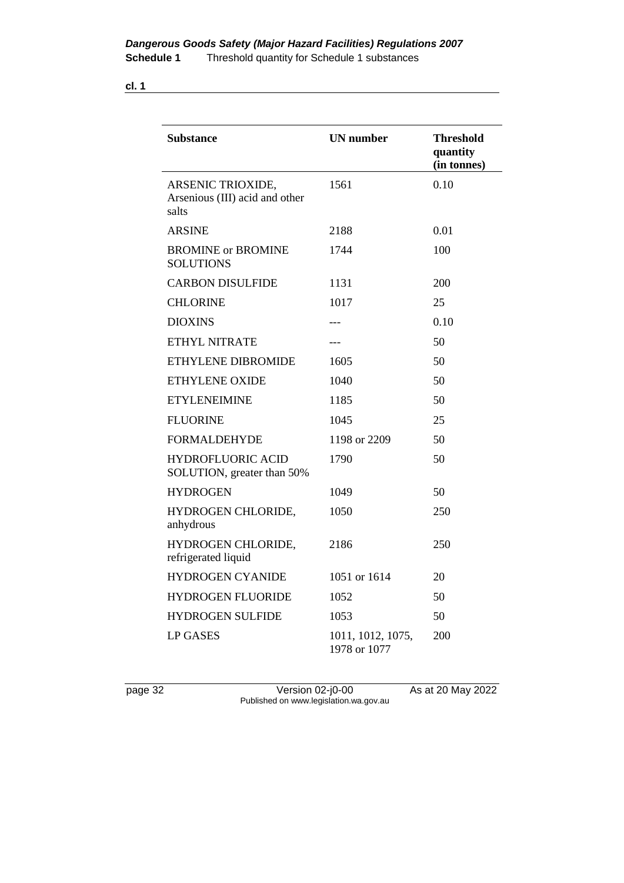| I<br>×<br>۰. |
|--------------|
|--------------|

| <b>Substance</b>                                             | <b>UN</b> number                  | <b>Threshold</b><br>quantity<br>(in tonnes) |  |
|--------------------------------------------------------------|-----------------------------------|---------------------------------------------|--|
| ARSENIC TRIOXIDE,<br>Arsenious (III) acid and other<br>salts | 1561                              | 0.10                                        |  |
| <b>ARSINE</b>                                                | 2188                              | 0.01                                        |  |
| <b>BROMINE</b> or <b>BROMINE</b><br><b>SOLUTIONS</b>         | 1744                              | 100                                         |  |
| <b>CARBON DISULFIDE</b>                                      | 1131                              | 200                                         |  |
| <b>CHLORINE</b>                                              | 1017                              | 25                                          |  |
| <b>DIOXINS</b>                                               | $---$                             | 0.10                                        |  |
| <b>ETHYL NITRATE</b>                                         | $---$                             | 50                                          |  |
| ETHYLENE DIBROMIDE                                           | 1605                              | 50                                          |  |
| ETHYLENE OXIDE                                               | 1040                              | 50                                          |  |
| <b>ETYLENEIMINE</b>                                          | 1185                              | 50                                          |  |
| <b>FLUORINE</b>                                              | 1045                              | 25                                          |  |
| <b>FORMALDEHYDE</b>                                          | 1198 or 2209                      | 50                                          |  |
| <b>HYDROFLUORIC ACID</b><br>SOLUTION, greater than 50%       | 1790                              | 50                                          |  |
| <b>HYDROGEN</b>                                              | 1049                              | 50                                          |  |
| HYDROGEN CHLORIDE,<br>anhydrous                              | 1050                              | 250                                         |  |
| HYDROGEN CHLORIDE,<br>refrigerated liquid                    | 2186                              | 250                                         |  |
| <b>HYDROGEN CYANIDE</b>                                      | 1051 or 1614                      | 20                                          |  |
| <b>HYDROGEN FLUORIDE</b>                                     | 1052                              | 50                                          |  |
| <b>HYDROGEN SULFIDE</b>                                      | 1053                              | 50                                          |  |
| <b>LP GASES</b>                                              | 1011, 1012, 1075,<br>1978 or 1077 | 200                                         |  |

page 32 Version 02-j0-00 As at 20 May 2022 Published on www.legislation.wa.gov.au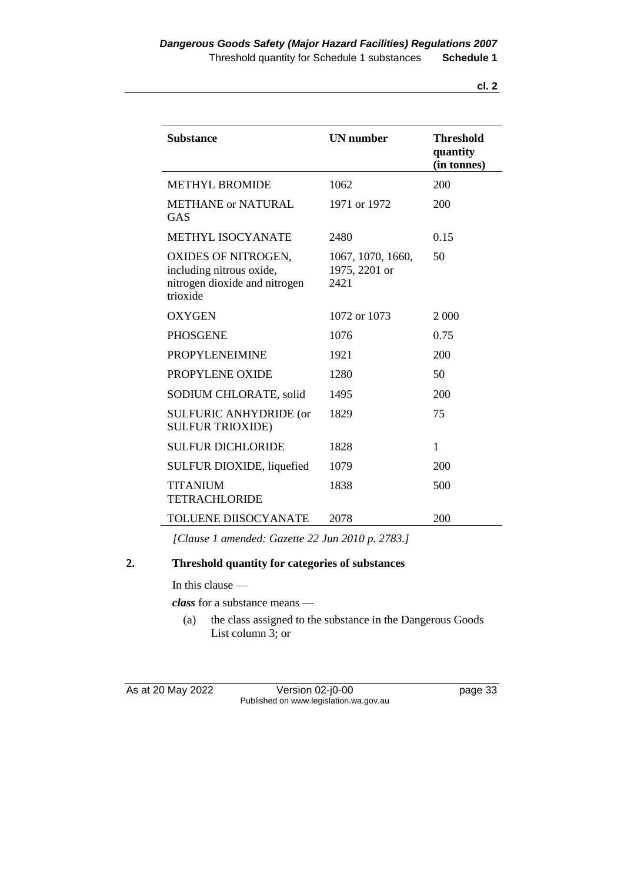| v<br>v |  |
|--------|--|

| <b>Substance</b>                                                                             | <b>UN</b> number                           | <b>Threshold</b><br>quantity<br>(in tonnes) |
|----------------------------------------------------------------------------------------------|--------------------------------------------|---------------------------------------------|
| <b>METHYL BROMIDE</b>                                                                        | 1062                                       | 200                                         |
| <b>METHANE or NATURAL</b><br><b>GAS</b>                                                      | 1971 or 1972                               | 200                                         |
| <b>METHYL ISOCYANATE</b>                                                                     | 2480                                       | 0.15                                        |
| OXIDES OF NITROGEN,<br>including nitrous oxide,<br>nitrogen dioxide and nitrogen<br>trioxide | 1067, 1070, 1660,<br>1975, 2201 or<br>2421 | 50                                          |
| <b>OXYGEN</b>                                                                                | 1072 or 1073                               | 2 0 0 0                                     |
| <b>PHOSGENE</b>                                                                              | 1076                                       | 0.75                                        |
| <b>PROPYLENEIMINE</b>                                                                        | 1921                                       | 200                                         |
| PROPYLENE OXIDE                                                                              | 1280                                       | 50                                          |
| SODIUM CHLORATE, solid                                                                       | 1495                                       | 200                                         |
| <b>SULFURIC ANHYDRIDE (or</b><br><b>SULFUR TRIOXIDE)</b>                                     | 1829                                       | 75                                          |
| <b>SULFUR DICHLORIDE</b>                                                                     | 1828                                       | 1                                           |
| SULFUR DIOXIDE, liquefied                                                                    | 1079                                       | 200                                         |
| <b>TITANIUM</b><br><b>TETRACHLORIDE</b>                                                      | 1838                                       | 500                                         |
| <b>TOLUENE DIISOCYANATE</b>                                                                  | 2078                                       | 200                                         |

*[Clause 1 amended: Gazette 22 Jun 2010 p. 2783.]*

#### **2. Threshold quantity for categories of substances**

In this clause —

*class* for a substance means —

(a) the class assigned to the substance in the Dangerous Goods List column 3; or

As at 20 May 2022 Version 02-j0-00 page 33 Published on www.legislation.wa.gov.au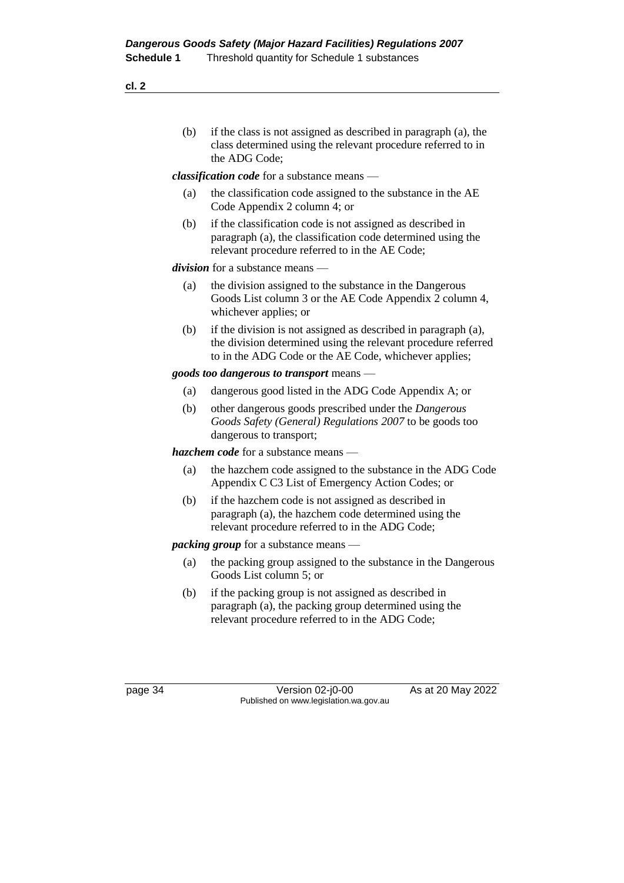(b) if the class is not assigned as described in paragraph (a), the class determined using the relevant procedure referred to in the ADG Code;

*classification code* for a substance means —

- (a) the classification code assigned to the substance in the AE Code Appendix 2 column 4; or
- (b) if the classification code is not assigned as described in paragraph (a), the classification code determined using the relevant procedure referred to in the AE Code;

*division* for a substance means —

- (a) the division assigned to the substance in the Dangerous Goods List column 3 or the AE Code Appendix 2 column 4, whichever applies; or
- (b) if the division is not assigned as described in paragraph (a), the division determined using the relevant procedure referred to in the ADG Code or the AE Code, whichever applies;

#### *goods too dangerous to transport* means —

- (a) dangerous good listed in the ADG Code Appendix A; or
- (b) other dangerous goods prescribed under the *Dangerous Goods Safety (General) Regulations 2007* to be goods too dangerous to transport;

*hazchem code* for a substance means —

- (a) the hazchem code assigned to the substance in the ADG Code Appendix C C3 List of Emergency Action Codes; or
- (b) if the hazchem code is not assigned as described in paragraph (a), the hazchem code determined using the relevant procedure referred to in the ADG Code;

#### *packing group* for a substance means —

- (a) the packing group assigned to the substance in the Dangerous Goods List column 5; or
- (b) if the packing group is not assigned as described in paragraph (a), the packing group determined using the relevant procedure referred to in the ADG Code;

page 34 Version 02-j0-00 As at 20 May 2022 Published on www.legislation.wa.gov.au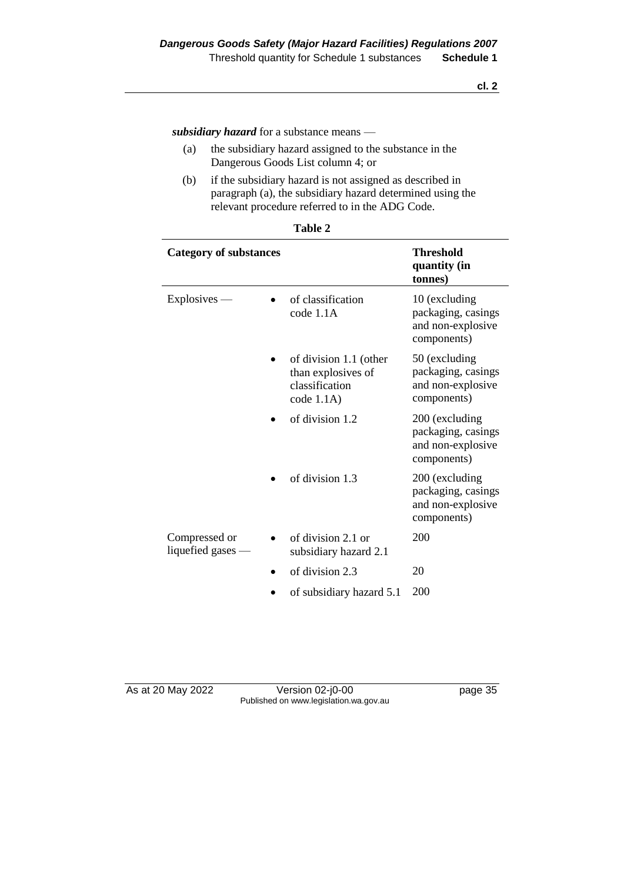*subsidiary hazard* for a substance means —

- (a) the subsidiary hazard assigned to the substance in the Dangerous Goods List column 4; or
- (b) if the subsidiary hazard is not assigned as described in paragraph (a), the subsidiary hazard determined using the relevant procedure referred to in the ADG Code.

| <b>Category of substances</b>        |  |                                                                              | <b>Threshold</b><br>quantity (in<br>tonnes)                              |  |
|--------------------------------------|--|------------------------------------------------------------------------------|--------------------------------------------------------------------------|--|
| $Explosives -$                       |  | of classification<br>code 1.1A                                               | 10 (excluding<br>packaging, casings<br>and non-explosive<br>components)  |  |
|                                      |  | of division 1.1 (other<br>than explosives of<br>classification<br>code 1.1A) | 50 (excluding<br>packaging, casings<br>and non-explosive<br>components)  |  |
|                                      |  | of division 1.2                                                              | 200 (excluding<br>packaging, casings<br>and non-explosive<br>components) |  |
|                                      |  | of division 1.3                                                              | 200 (excluding<br>packaging, casings<br>and non-explosive<br>components) |  |
| Compressed or<br>liquefied gases $-$ |  | of division 2.1 or<br>subsidiary hazard 2.1                                  | 200                                                                      |  |
|                                      |  | of division 2.3                                                              | 20                                                                       |  |
|                                      |  | of subsidiary hazard 5.1                                                     | 200                                                                      |  |

| ۱<br>וחו<br>и |  |
|---------------|--|
|---------------|--|

Version 02-j0-00 page 35 Published on www.legislation.wa.gov.au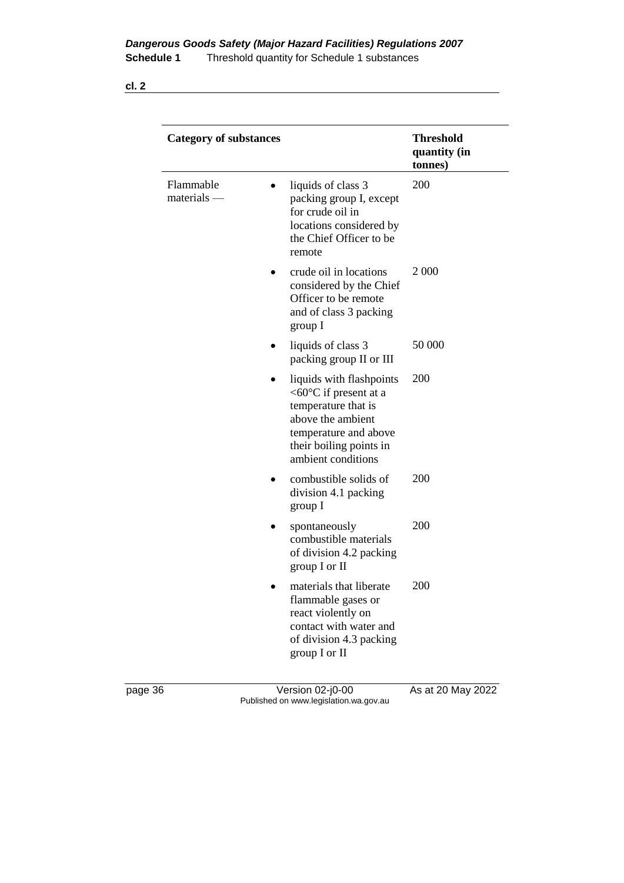| I<br>×<br>۰. |
|--------------|
|--------------|

| <b>Category of substances</b> |                                                                                                                                                                                    | <b>Threshold</b><br>quantity (in<br>tonnes) |
|-------------------------------|------------------------------------------------------------------------------------------------------------------------------------------------------------------------------------|---------------------------------------------|
| Flammable<br>materials        | liquids of class 3<br>$\bullet$<br>packing group I, except<br>for crude oil in<br>locations considered by<br>the Chief Officer to be<br>remote                                     | 200                                         |
|                               | crude oil in locations<br>considered by the Chief<br>Officer to be remote<br>and of class 3 packing<br>group I                                                                     | 2 0 0 0                                     |
|                               | liquids of class 3<br>packing group II or III                                                                                                                                      | 50 000                                      |
|                               | liquids with flashpoints<br>$< 60^{\circ}$ C if present at a<br>temperature that is<br>above the ambient<br>temperature and above<br>their boiling points in<br>ambient conditions | 200                                         |
|                               | combustible solids of<br>division 4.1 packing<br>group I                                                                                                                           | 200                                         |
|                               | spontaneously<br>combustible materials<br>of division 4.2 packing<br>group $I$ or $II$                                                                                             | 200                                         |
|                               | materials that liberate<br>flammable gases or<br>react violently on<br>contact with water and<br>of division 4.3 packing<br>group I or II                                          | 200                                         |

page 36 Version 02-j0-00 As at 20 May 2022 Published on www.legislation.wa.gov.au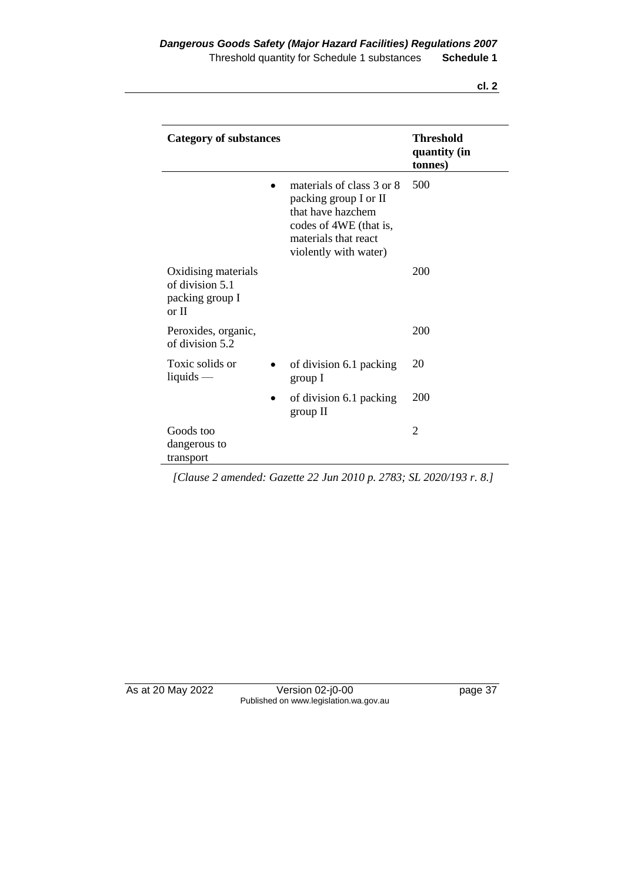| v |
|---|
|---|

| <b>Category of substances</b>                                      |                                                                                                                                                    | <b>Threshold</b><br>quantity (in<br>tonnes) |
|--------------------------------------------------------------------|----------------------------------------------------------------------------------------------------------------------------------------------------|---------------------------------------------|
|                                                                    | materials of class 3 or 8<br>packing group I or II<br>that have hazchem<br>codes of 4WE (that is,<br>materials that react<br>violently with water) | 500                                         |
| Oxidising materials<br>of division 5.1<br>packing group I<br>or II |                                                                                                                                                    | 200                                         |
| Peroxides, organic,<br>of division 5.2                             |                                                                                                                                                    | 200                                         |
| Toxic solids or<br>liquids $-$                                     | of division 6.1 packing<br>group I                                                                                                                 | 20                                          |
| $\bullet$                                                          | of division 6.1 packing<br>group II                                                                                                                | 200                                         |
| Goods too<br>dangerous to<br>transport                             |                                                                                                                                                    | $\overline{2}$                              |

*[Clause 2 amended: Gazette 22 Jun 2010 p. 2783; SL 2020/193 r. 8.]*

As at 20 May 2022 Version 02-j0-00 page 37 Published on www.legislation.wa.gov.au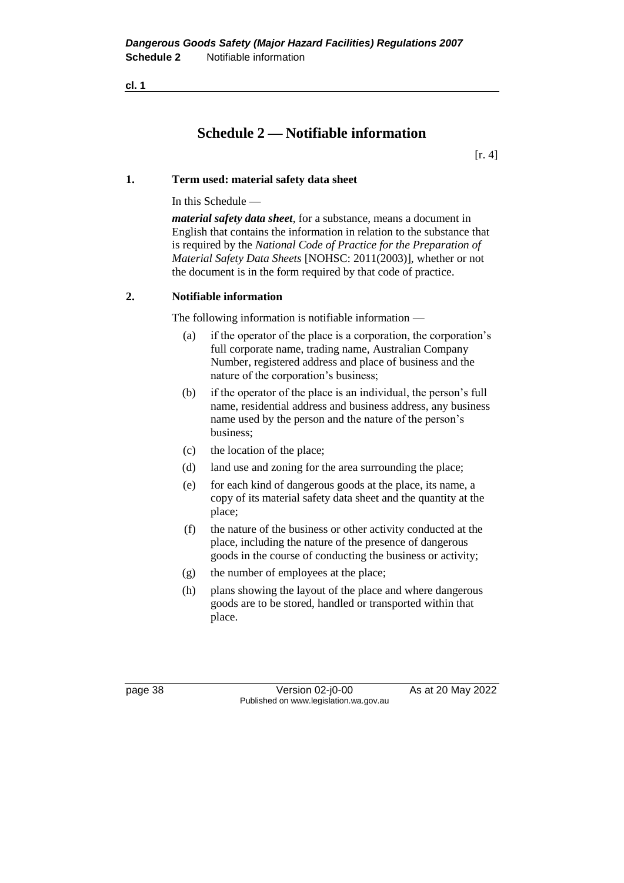# **Schedule 2 — Notifiable information**

[r. 4]

#### **1. Term used: material safety data sheet**

In this Schedule —

*material safety data sheet*, for a substance, means a document in English that contains the information in relation to the substance that is required by the *National Code of Practice for the Preparation of Material Safety Data Sheets* [NOHSC: 2011(2003)], whether or not the document is in the form required by that code of practice.

#### **2. Notifiable information**

The following information is notifiable information —

- (a) if the operator of the place is a corporation, the corporation's full corporate name, trading name, Australian Company Number, registered address and place of business and the nature of the corporation's business;
- (b) if the operator of the place is an individual, the person's full name, residential address and business address, any business name used by the person and the nature of the person's business;
- (c) the location of the place;
- (d) land use and zoning for the area surrounding the place;
- (e) for each kind of dangerous goods at the place, its name, a copy of its material safety data sheet and the quantity at the place;
- (f) the nature of the business or other activity conducted at the place, including the nature of the presence of dangerous goods in the course of conducting the business or activity;
- (g) the number of employees at the place;
- (h) plans showing the layout of the place and where dangerous goods are to be stored, handled or transported within that place.

page 38 Version 02-j0-00 As at 20 May 2022 Published on www.legislation.wa.gov.au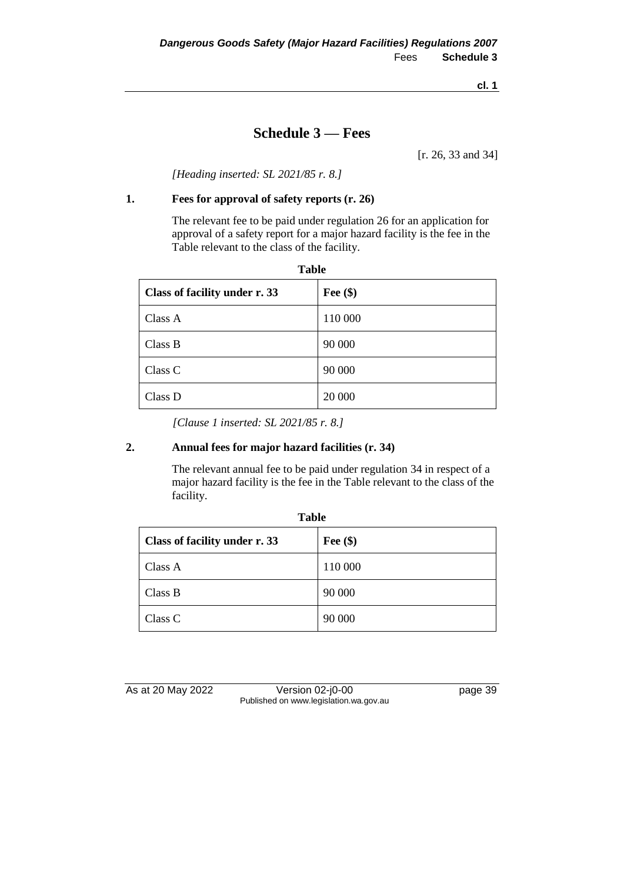# **Schedule 3 — Fees**

[r. 26, 33 and 34]

*[Heading inserted: SL 2021/85 r. 8.]*

### **1. Fees for approval of safety reports (r. 26)**

The relevant fee to be paid under regulation 26 for an application for approval of a safety report for a major hazard facility is the fee in the Table relevant to the class of the facility.

| <b>Table</b>                  |            |  |
|-------------------------------|------------|--|
| Class of facility under r. 33 | Fee $(\$)$ |  |
| Class A                       | 110 000    |  |
| Class B                       | 90 000     |  |
| Class C                       | 90 000     |  |
| Class D                       | 20 000     |  |

*[Clause 1 inserted: SL 2021/85 r. 8.]*

#### **2. Annual fees for major hazard facilities (r. 34)**

The relevant annual fee to be paid under regulation 34 in respect of a major hazard facility is the fee in the Table relevant to the class of the facility.

| Class of facility under r. 33 | Fee $(\$)$ |
|-------------------------------|------------|
| Class A                       | 110 000    |
| Class B                       | 90 000     |
| Class C                       | 90 000     |

As at 20 May 2022 Version 02-j0-00 page 39 Published on www.legislation.wa.gov.au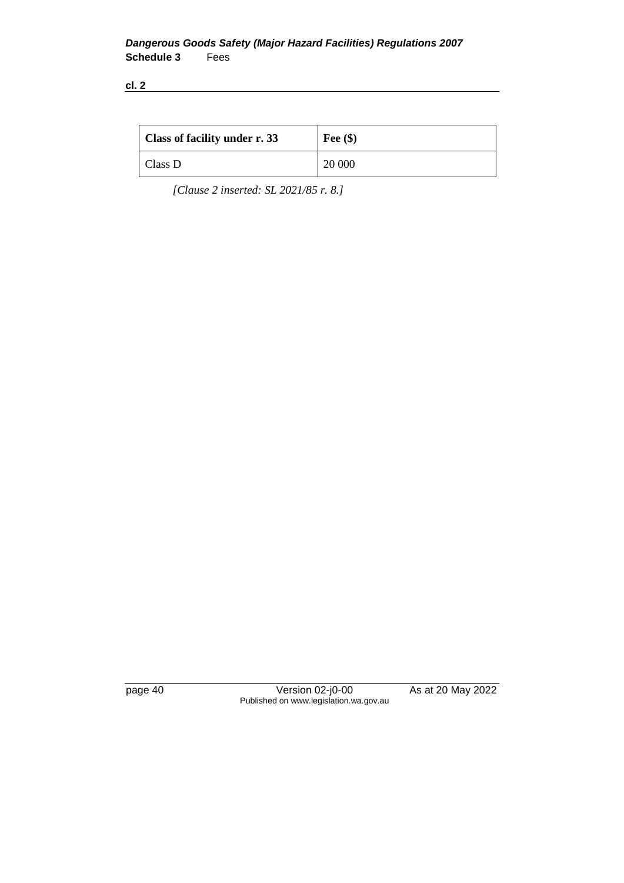| <b>Class of facility under r. 33</b> | Fee $(\$)$ |
|--------------------------------------|------------|
| Class D                              | 20 000     |

*[Clause 2 inserted: SL 2021/85 r. 8.]*

page 40 Version 02-j0-00 As at 20 May 2022 Published on www.legislation.wa.gov.au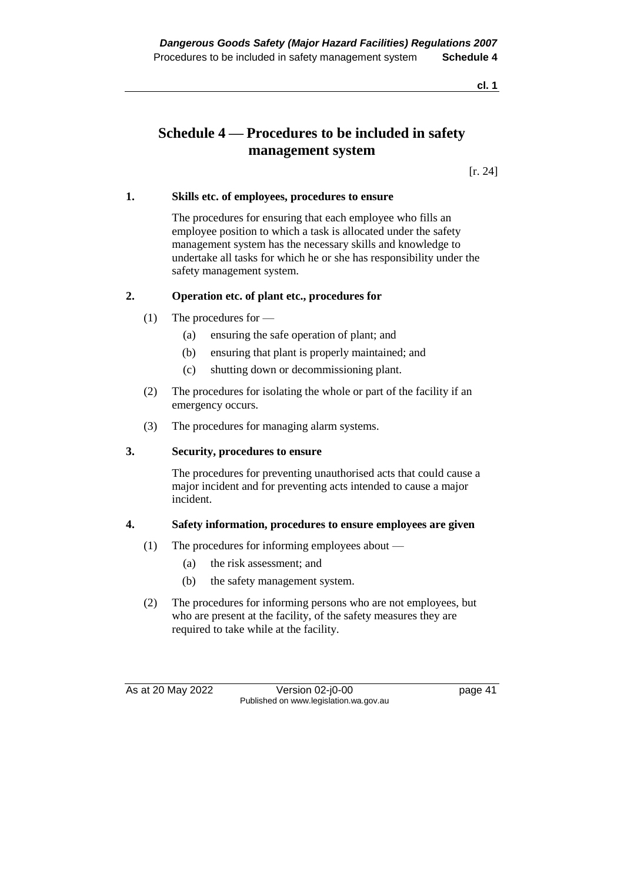# **Schedule 4 — Procedures to be included in safety management system**

[r. 24]

#### **1. Skills etc. of employees, procedures to ensure**

The procedures for ensuring that each employee who fills an employee position to which a task is allocated under the safety management system has the necessary skills and knowledge to undertake all tasks for which he or she has responsibility under the safety management system.

#### **2. Operation etc. of plant etc., procedures for**

- (1) The procedures for
	- (a) ensuring the safe operation of plant; and
	- (b) ensuring that plant is properly maintained; and
	- (c) shutting down or decommissioning plant.
- (2) The procedures for isolating the whole or part of the facility if an emergency occurs.
- (3) The procedures for managing alarm systems.

#### **3. Security, procedures to ensure**

The procedures for preventing unauthorised acts that could cause a major incident and for preventing acts intended to cause a major incident.

#### **4. Safety information, procedures to ensure employees are given**

- (1) The procedures for informing employees about
	- (a) the risk assessment; and
	- (b) the safety management system.
- (2) The procedures for informing persons who are not employees, but who are present at the facility, of the safety measures they are required to take while at the facility.

As at 20 May 2022 Version 02-j0-00 page 41 Published on www.legislation.wa.gov.au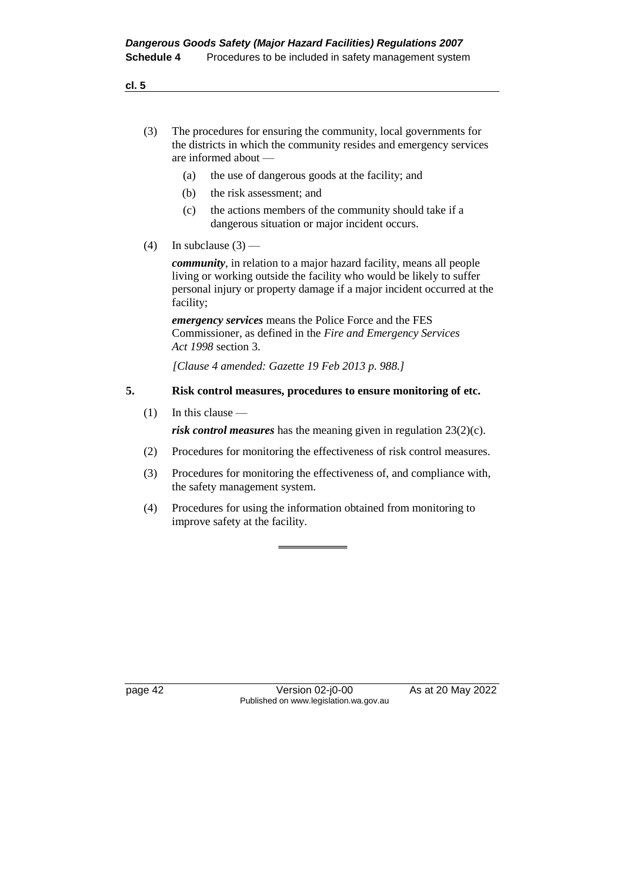- (3) The procedures for ensuring the community, local governments for the districts in which the community resides and emergency services are informed about —
	- (a) the use of dangerous goods at the facility; and
	- (b) the risk assessment; and
	- (c) the actions members of the community should take if a dangerous situation or major incident occurs.
- (4) In subclause  $(3)$  —

*community*, in relation to a major hazard facility, means all people living or working outside the facility who would be likely to suffer personal injury or property damage if a major incident occurred at the facility;

*emergency services* means the Police Force and the FES Commissioner, as defined in the *Fire and Emergency Services Act 1998* section 3.

*[Clause 4 amended: Gazette 19 Feb 2013 p. 988.]*

#### **5. Risk control measures, procedures to ensure monitoring of etc.**

 $(1)$  In this clause —

*risk control measures* has the meaning given in regulation 23(2)(c).

- (2) Procedures for monitoring the effectiveness of risk control measures.
- (3) Procedures for monitoring the effectiveness of, and compliance with, the safety management system.
- (4) Procedures for using the information obtained from monitoring to improve safety at the facility.

page 42 Version 02-j0-00 As at 20 May 2022 Published on www.legislation.wa.gov.au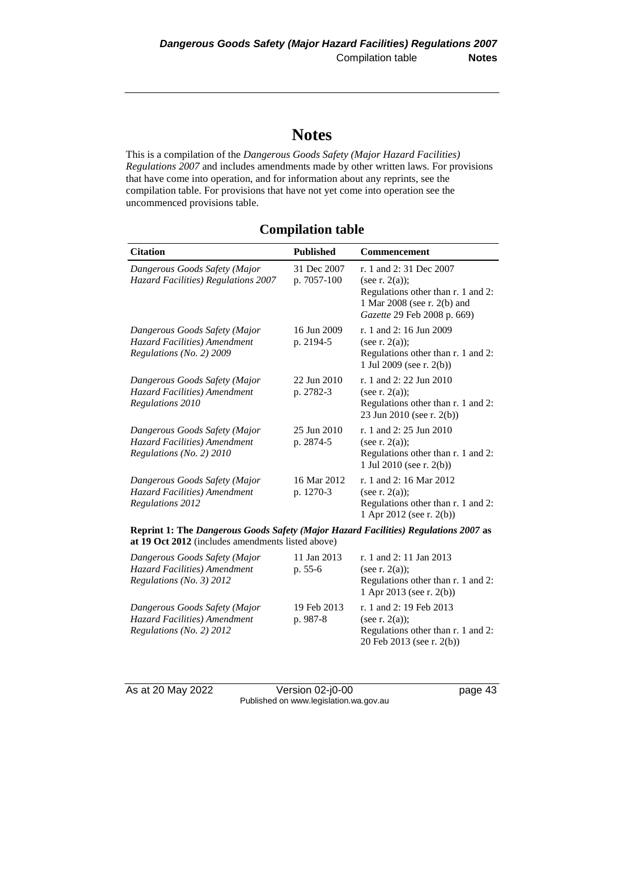# **Notes**

This is a compilation of the *Dangerous Goods Safety (Major Hazard Facilities) Regulations 2007* and includes amendments made by other written laws. For provisions that have come into operation, and for information about any reprints, see the compilation table. For provisions that have not yet come into operation see the uncommenced provisions table.

# **Compilation table**

| <b>Citation</b>                                                                                                                          | <b>Published</b>           | <b>Commencement</b>                                                                                                                             |  |
|------------------------------------------------------------------------------------------------------------------------------------------|----------------------------|-------------------------------------------------------------------------------------------------------------------------------------------------|--|
| Dangerous Goods Safety (Major<br>Hazard Facilities) Regulations 2007                                                                     | 31 Dec 2007<br>p. 7057-100 | r. 1 and 2:31 Dec 2007<br>(see r. $2(a)$ );<br>Regulations other than r. 1 and 2:<br>1 Mar 2008 (see r. 2(b) and<br>Gazette 29 Feb 2008 p. 669) |  |
| Dangerous Goods Safety (Major<br>Hazard Facilities) Amendment<br>Regulations (No. 2) 2009                                                | 16 Jun 2009<br>p. 2194-5   | r. 1 and 2: 16 Jun 2009<br>(see r. $2(a)$ );<br>Regulations other than r. 1 and 2:<br>1 Jul 2009 (see r. $2(b)$ )                               |  |
| Dangerous Goods Safety (Major<br>Hazard Facilities) Amendment<br>Regulations 2010                                                        | 22 Jun 2010<br>p. 2782-3   | r. 1 and 2: 22 Jun 2010<br>(see r. $2(a)$ );<br>Regulations other than r. 1 and 2:<br>23 Jun 2010 (see r. 2(b))                                 |  |
| Dangerous Goods Safety (Major<br>Hazard Facilities) Amendment<br>Regulations (No. 2) 2010                                                | 25 Jun 2010<br>p. 2874-5   | r. 1 and 2: 25 Jun 2010<br>(see r. $2(a)$ );<br>Regulations other than r. 1 and 2:<br>1 Jul 2010 (see r. $2(b)$ )                               |  |
| Dangerous Goods Safety (Major<br>Hazard Facilities) Amendment<br>Regulations 2012                                                        | 16 Mar 2012<br>p. 1270-3   | r. 1 and 2:16 Mar 2012<br>(see r. $2(a)$ );<br>Regulations other than r. 1 and 2:<br>1 Apr 2012 (see r. 2(b))                                   |  |
| Reprint 1: The Dangerous Goods Safety (Major Hazard Facilities) Regulations 2007 as<br>at 19 Oct 2012 (includes amendments listed above) |                            |                                                                                                                                                 |  |
| Dangerous Goods Safety (Major<br>Hazard Facilities) Amendment<br>Regulations (No. 3) 2012                                                | 11 Jan 2013<br>p. 55-6     | r. 1 and 2: 11 Jan 2013<br>(see r. $2(a)$ );<br>Regulations other than r. 1 and 2:<br>1 Apr 2013 (see r. 2(b))                                  |  |

*Dangerous Goods Safety (Major Hazard Facilities) Amendment Regulations (No. 2) 2012* 19 Feb 2013 p. 987-8 r. 1 and 2: 19 Feb 2013 (see r.  $2(a)$ ); Regulations other than r. 1 and 2: 20 Feb 2013 (see r. 2(b))

As at 20 May 2022 Version 02-j0-00 Page 43 Published on www.legislation.wa.gov.au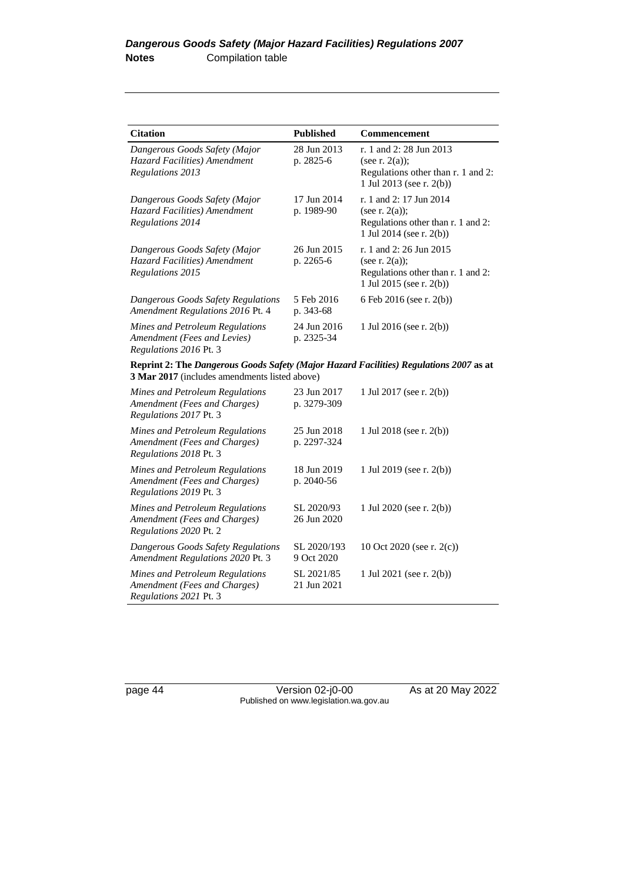| <b>Citation</b>                                                                                                                         | <b>Published</b>           | Commencement                                                                                                   |
|-----------------------------------------------------------------------------------------------------------------------------------------|----------------------------|----------------------------------------------------------------------------------------------------------------|
| Dangerous Goods Safety (Major<br>Hazard Facilities) Amendment<br>Regulations 2013                                                       | 28 Jun 2013<br>p. 2825-6   | r. 1 and 2: 28 Jun 2013<br>(see r. $2(a)$ );<br>Regulations other than r. 1 and 2:<br>1 Jul 2013 (see r. 2(b)) |
| Dangerous Goods Safety (Major<br>Hazard Facilities) Amendment<br>Regulations 2014                                                       | 17 Jun 2014<br>p. 1989-90  | r. 1 and 2: 17 Jun 2014<br>(see r. $2(a)$ );<br>Regulations other than r. 1 and 2:<br>1 Jul 2014 (see r. 2(b)) |
| Dangerous Goods Safety (Major<br>Hazard Facilities) Amendment<br>Regulations 2015                                                       | 26 Jun 2015<br>p. 2265-6   | r. 1 and 2: 26 Jun 2015<br>(see r. $2(a)$ );<br>Regulations other than r. 1 and 2:<br>1 Jul 2015 (see r. 2(b)) |
| Dangerous Goods Safety Regulations<br>Amendment Regulations 2016 Pt. 4                                                                  | 5 Feb 2016<br>p. 343-68    | 6 Feb 2016 (see r. 2(b))                                                                                       |
| Mines and Petroleum Regulations<br>Amendment (Fees and Levies)<br>Regulations 2016 Pt. 3                                                | 24 Jun 2016<br>p. 2325-34  | 1 Jul 2016 (see r. 2(b))                                                                                       |
| Reprint 2: The Dangerous Goods Safety (Major Hazard Facilities) Regulations 2007 as at<br>3 Mar 2017 (includes amendments listed above) |                            |                                                                                                                |
| Mines and Petroleum Regulations<br>Amendment (Fees and Charges)<br>Regulations 2017 Pt. 3                                               | 23 Jun 2017<br>p. 3279-309 | 1 Jul 2017 (see r. 2(b))                                                                                       |
| Mines and Petroleum Regulations<br>Amendment (Fees and Charges)<br>Regulations 2018 Pt. 3                                               | 25 Jun 2018<br>p. 2297-324 | 1 Jul 2018 (see r. 2(b))                                                                                       |
| Mines and Petroleum Regulations<br>Amendment (Fees and Charges)<br>Regulations 2019 Pt. 3                                               | 18 Jun 2019<br>p. 2040-56  | 1 Jul 2019 (see r. 2(b))                                                                                       |
| Mines and Petroleum Regulations<br>Amendment (Fees and Charges)<br>Regulations 2020 Pt. 2                                               | SL 2020/93<br>26 Jun 2020  | 1 Jul 2020 (see r. 2(b))                                                                                       |
| Dangerous Goods Safety Regulations<br>Amendment Regulations 2020 Pt. 3                                                                  | SL 2020/193<br>9 Oct 2020  | 10 Oct 2020 (see r. $2(c)$ )                                                                                   |
| Mines and Petroleum Regulations<br>Amendment (Fees and Charges)<br>Regulations 2021 Pt. 3                                               | SL 2021/85<br>21 Jun 2021  | 1 Jul 2021 (see r. $2(b)$ )                                                                                    |

page 44 Version 02-j0-00 As at 20 May 2022 Published on www.legislation.wa.gov.au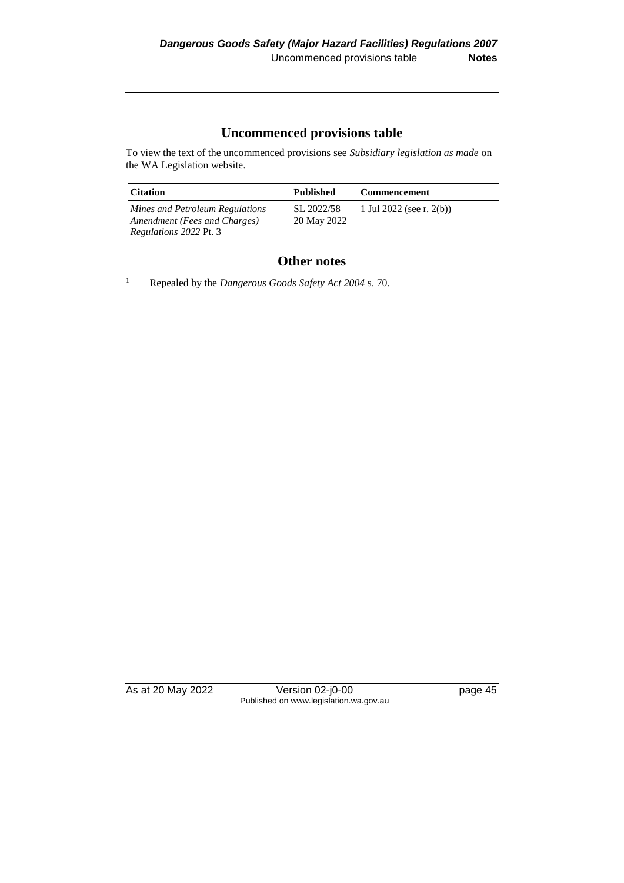# **Uncommenced provisions table**

To view the text of the uncommenced provisions see *Subsidiary legislation as made* on the WA Legislation website.

| <b>Citation</b>                                                 | <b>Published</b>          | <b>Commencement</b>      |
|-----------------------------------------------------------------|---------------------------|--------------------------|
| Mines and Petroleum Regulations<br>Amendment (Fees and Charges) | SL 2022/58<br>20 May 2022 | 1 Jul 2022 (see r. 2(b)) |
| <i>Regulations 2022 Pt. 3</i>                                   |                           |                          |

## **Other notes**

<sup>1</sup> Repealed by the *Dangerous Goods Safety Act 2004* s. 70.

As at 20 May 2022 Version 02-j0-00 page 45 Published on www.legislation.wa.gov.au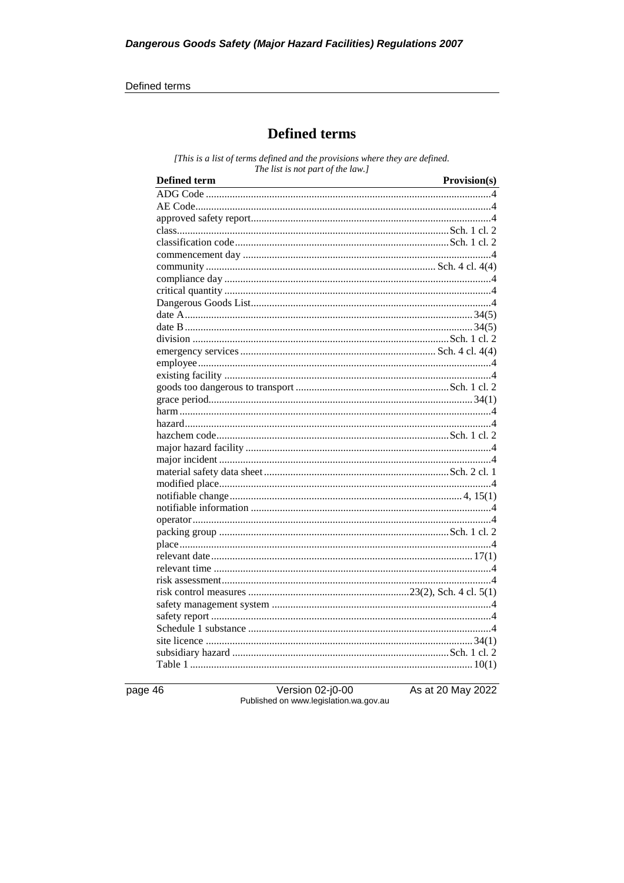#### Defined terms

# **Defined terms**

[This is a list of terms defined and the provisions where they are defined. The list is not part of the law.]

| <b>Defined term</b> | Provision(s) |
|---------------------|--------------|
|                     |              |
|                     |              |
|                     |              |
|                     |              |
|                     |              |
|                     |              |
|                     |              |
|                     |              |
|                     |              |
|                     |              |
|                     |              |
|                     |              |
|                     |              |
|                     |              |
|                     |              |
|                     |              |
|                     |              |
|                     |              |
|                     |              |
|                     |              |
|                     |              |
|                     |              |
|                     |              |
|                     |              |
|                     |              |
|                     |              |
|                     |              |
|                     |              |
|                     |              |
|                     |              |
|                     |              |
|                     |              |
|                     |              |
|                     |              |
|                     |              |
|                     |              |
|                     |              |
|                     |              |
|                     |              |
|                     |              |
|                     |              |

page 46

Version 02-j0-00<br>Published on www.legislation.wa.gov.au

As at 20 May 2022